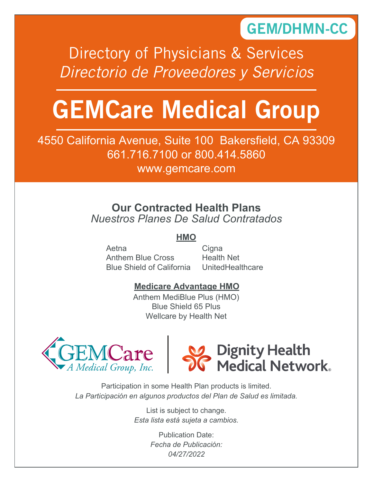## GEM/DHMN-CC

Directory of Physicians & Services *Directorio de Proveedores y Servicios*

# GEMCare Medical Group

4550 California Avenue, Suite 100 Bakersfield, CA 93309 661.716.7100 or 800.414.5860

www.gemcare.com

## **Our Contracted Health Plans** *Nuestros Planes De Salud Contratados*

## **HMO**

Aetna Anthem Blue Cross Blue Shield of California Cigna Health Net **UnitedHealthcare** 

## **Medicare Advantage HMO**

Anthem MediBlue Plus (HMO) Blue Shield 65 Plus Wellcare by Health Net





Participation in some Health Plan products is limited. *La Participación en algunos productos del Plan de Salud es limitada.*

> List is subject to change. *Esta lista está sujeta a cambios.*

> > Publication Date: *Fecha de Publicación: 04/27/2022*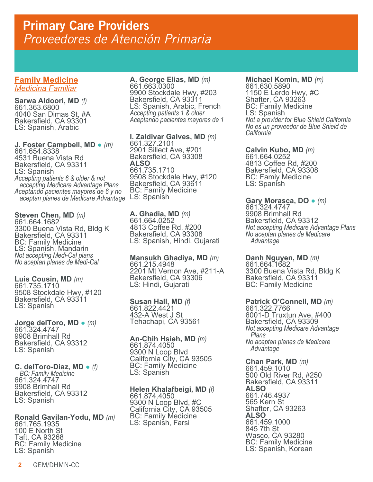## **Family Medicine** *Medicina Familiar*

**Sarwa Aldoori, MD** *(f)* 661.363.6800 4040 San Dimas St, #A Bakersfield, CA 93301 LS: Spanish, Arabic

**J. Foster Campbell, MD** ● *(m)* 661.654.8338 4531 Buena Vista Rd Bakersfield, CA 93311 LS: Spanish *Accepting patients 6 & older & not accepting Medicare Advantage Plans Aceptando pacientes mayores de 6 y no aceptan planes de Medicare Advantage* LS: Spanish

**Steven Chen, MD** *(m)* 661.664.1682 3300 Buena Vista Rd, Bldg K Bakersfield, CA 93311 BC: Family Medicine LS: Spanish, Mandarin *Not accepting Medi-Cal plans No aceptan planes de Medi-Cal*

**Luis Cousin, MD** *(m)* 661.735.1710 9508 Stockdale Hwy, #120 Bakersfield, CA 93311 LS: Spanish

**Jorge delToro, MD** ● *(m)* 661.324.4747 9908 Brimhall Rd Bakersfield, CA 93312 LS: Spanish

### **C. delToro-Diaz, MD** ● *(f) BC: Family Medicine* 661.324.4747 9908 Brimhall Rd Bakersfield, CA 93312 LS: Spanish

**Ronald Gavilan-Yodu, MD** *(m)* 661.765.1935 100 E North St Taft, CA 93268 BC: Family Medicine LS: Spanish

**A. George Elias, MD** *(m)* 661.663.0300 9900 Stockdale Hwy, #203 Bakersfield, CA 93311 LS: Spanish, Arabic, French *Accepting patients 1 & older Aceptando pacientes mayores de 1*

**I. Zaldivar Galves, MD** *(m)* 661.327.2101 2901 Sillect Ave, #201 Bakersfield, CA 93308 **ALSO** 661.735.1710 9508 Stockdale Hwy, #120 Bakersfield, CA 93611 BC: Family Medicine

**A. Ghadia, MD** *(m)* 661.664.0252 4813 Coffee Rd, #200 Bakersfield, CA 93308 LS: Spanish, Hindi, Gujarati

**Mansukh Ghadiya, MD** *(m)* 661.215.4948 2201 Mt Vernon Ave, #211-A Bakersfield, CA 93306 LS: Hindi, Gujarati

**Susan Hall, MD** *(f)* 661.822.4421 432-A West J St Tehachapi, CA 93561

**An-Chih Hsieh, MD** *(m)* 661.874.4050 9300 N Loop Blvd California City, CA 93505 BC: Family Medicine LS: Spanish

**Helen Khalafbeigi, MD** *(f)* 661.874.4050 9300 N Loop Blvd, #C California City, CA 93505 BC: Family Medicine LS: Spanish, Farsi

**Michael Komin, MD** *(m)* 661.630.5890 1150 E Lerdo Hwy, #C Shafter, CA 93263 BC: Family Medicine LS: Spanish *Not a provider for Blue Shield California No es un proveedor de Blue Shield de California*

**Calvin Kubo, MD** *(m)* 661.664.0252 4813 Coffee Rd, #200 Bakersfield, CA 93308 BC: Famiy Medicine LS: Spanish

**Gary Morasca, DO** ● *(m)* 661.324.4747 9908 Brimhall Rd Bakersfield, CA 93312 *Not accepting Medicare Advantage Plans No aceptan planes de Medicare Advantage*

**Danh Nguyen, MD** *(m)*<br>661.664.1682 3300 Buena Vista Rd, Bldg K Bakersfield, CA 93311 BC: Family Medicine

**Patrick O'Connell, MD** *(m)* 661.322.7766 6001-D Truxtun Ave, #400 Bakersfield, CA 93309 *Not accepting Medicare Advantage Plans No aceptan planes de Medicare Advantage*

**Chan Park, MD** *(m)* 661.459.1010 500 Old River Rd, #250 Bakersfield, CA 93311 **ALSO** 661.746.4937 565 Kern St Shafter, CA 93263 **ALSO** 661.459.1000 845 7th St Wasco, CA 93280 BC: Family Medicine LS: Spanish, Korean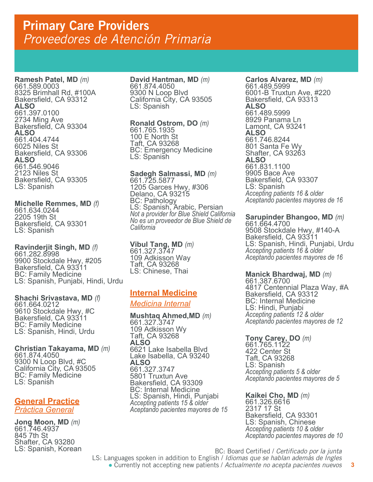**Ramesh Patel, MD** *(m)* 661.589.0003 8325 Brimhall Rd, #100A Bakersfield, CA 93312 **ALSO** 661.397.0100 2734 Ming Ave Bakersfield, CA 93304 **ALSO** 661.404.4744 6025 Niles St Bakersfield, CA 93306 **ALSO** 661.546.9046 2123 Niles St Bakersfield, CA 93305 LS: Spanish

**Michelle Remmes, MD** *(f)* 661.634.0244 2205 19th St Bakersfield, CA 93301 LS: Spanish

**Ravinderjit Singh, MD** *(f)* 661.282.8998 9900 Stockdale Hwy, #205 Bakersfield, CA 93311 BC: Family Medicine LS: Spanish, Punjabi, Hindi, Urdu

**Shachi Srivastava, MD** *(f)* 661.664.0212 9610 Stockdale Hwy, #C Bakersfield, CA 93311 BC: Family Medicine LS: Spanish, Hindi, Urdu

**Christian Takayama, MD** *(m)* 661.874.4050 9300 N Loop Blvd, #C California City, CA 93505 BC: Family Medicine LS: Spanish

**General Practice** *Práctica General*

**Jong Moon, MD** *(m)* 661.746.4937 845 7th St Shafter, CA 93280 LS: Spanish, Korean **David Hantman, MD** *(m)* 661.874.4050 9300 N Loop Blvd California City, CA 93505 LS: Spanish

**Ronald Ostrom, DO** *(m)* 661.765.1935 100 E North St Taft, CA 93268 BC: Emergency Medicine LS: Spanish

**Sadegh Salmassi, MD** *(m)* 661.725.5877 1205 Garces Hwy, #306 Delano, CA 93215 BC: Pathology LS: Spanish, Arabic, Persian *Not a provider for Blue Shield California No es un proveedor de Blue Shield de California*

**Vibul Tang, MD** *(m)* 661.327.3747 109 Adkisson Way Taft, CA 93268 LS: Chinese, Thai

## **Internal Medicine**

*Medicina Internal*

**Mushtaq Ahmed,MD** *(m)* 661.327.3747 109 Adkisson Wy Taft, CA 93268 **ALSO** 6621 Lake Isabella Blvd Lake Isabella, CA 93240 **ALSO** 661.327.3747 5801 Truxtun Ave Bakersfield, CA 93309 BC: Internal Medicine LS: Spanish, Hindi, Punjabi *Accepting patients 15 & older Aceptando pacientes mayores de 15* **Carlos Alvarez, MD** *(m)* 661.489.5999 6001-B Truxtun Ave, #220 Bakersfield, CA 93313 **ALSO** 661.489.5999 8929 Panama Ln Lamont, CA 93241 **ALSO** 661.746.8244 801 Santa Fe Wy Shafter, CA 93263 **ALSO** 661.831.1100 9905 Bace Ave Bakersfield, CA 93307 LS: Spanish *Accepting patients 16 & older Aceptando pacientes mayores de 16*

**Sarupinder Bhangoo, MD** *(m)* 661.664.4700 9508 Stockdale Hwy, #140-A Bakersfield, CA 93311 LS: Spanish, Hindi, Punjabi, Urdu *Accepting patients 16 & older Aceptando pacientes mayores de 16*

**Manick Bhardwaj, MD** *(m)* 661.387.6700

4817 Centennial Plaza Way, #A Bakersfield, CA 93312 BC: Internal Medicine LS: Hindi, Punjabi *Accepting patients 12 & older Aceptando pacientes mayores de 12*

**Tony Carey, DO** *(m)* 661.765.1122 422 Center St Taft, CA 93268 LS: Spanish *Accepting patients 5 & older Aceptando pacientes mayores de 5*

**Kaikei Cho, MD** *(m)* 661.326.6616 2317 17 St Bakersfield, CA 93301 LS: Spanish, Chinese *Accepting patients 10 & older Aceptando pacientes mayores de 10*

BC: Board Certified / *Certificado por la junta* LS: Languages spoken in addition to English / *Idiomas que se hablan además de Ingles*

● Currently not accepting new patients / *Actualmente no acepta pacientes nuevos*

**3**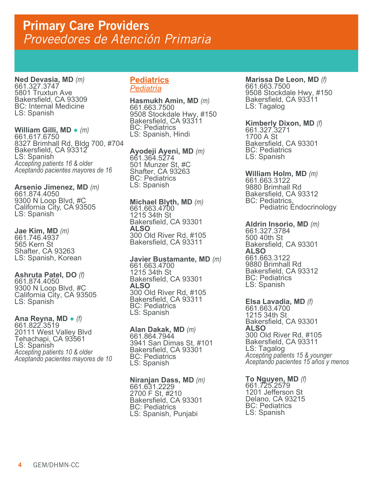**Ned Devasia, MD** *(m)* 661.327.3747 5801 Truxtun Ave Bakersfield, CA 93309 BC: Internal Medicine LS: Spanish

**William Gilli, MD** ● *(m)* 661.617.6750 8327 Brimhall Rd, Bldg 700, #704 Bakersfield, CA 93312 LS: Spanish *Accepting patients 16 & older Aceptando pacientes mayores de 16*

**Arsenio Jimenez, MD** *(m)* 661.874.4050 9300 N Loop Blvd, #C California City, CA 93505 LS: Spanish

**Jae Kim, MD** *(m)* 661.746.4937 565 Kern St Shafter, CA 93263 LS: Spanish, Korean

**Ashruta Patel, DO** *(f)* 661.874.4050 9300 N Loop Blvd, #C California City, CA 93505 LS: Spanish

**Ana Reyna, MD** ● *(f)* 661.822.3519 20111 West Valley Blvd Tehachapi, CA 93561 LS: Spanish *Accepting patients 10 & older Aceptando pacientes mayores de 10*

## **Pediatrics** *Pediatría*

**Hasmukh Amin, MD** *(m)* 661.663.7500 9508 Stockdale Hwy, #150 Bakersfield, CA 93311 BC: Pediatrics LS: Spanish, Hindi

**Ayodeji Ayeni, MD** *(m)* 661.364.5274 501 Munzer St, #C Shafter, CA 93263 BC: Pediatrics LS: Spanish

**Michael Blyth, MD** *(m)* 661.663.4700 1215 34th St Bakersfield, CA 93301 **ALSO** 300 Old River Rd, #105 Bakersfield, CA 93311

**Javier Bustamante, MD** *(m)* 661.663.4700 1215 34th St Bakersfield, CA 93301 **ALSO** 300 Old River Rd, #105 Bakersfield, CA 93311 BC: Pediatrics LS: Spanish

**Alan Dakak, MD** *(m)* 661.864.7944 3941 San Dimas St, #101 Bakersfield, CA 93301 BC: Pediatrics LS: Spanish

**Niranjan Dass, MD** *(m)*<br>661.631.2229 2700 F St, #210 Bakersfield, CA 93301 BC: Pediatrics LS: Spanish, Punjabi

**Marissa De Leon, MD** *(f)* 661.663.7500 9508 Stockdale Hwy, #150 Bakersfield, CA 93311 LS: Tagalog

**Kimberly Dixon, MD** *(f)* 661.327.3271 1700 A St Bakersfield, CA 93301 BC: Pediatrics LS: Spanish

**William Holm, MD** *(m)* 661.663.3122 9880 Brimhall Rd Bakersfield, CA 93312 BC: Pediatrics, Pediatric Endocrinology

**Aldrin Insorio, MD** *(m)* 661.327.3784 500 40th St Bakersfield, CA 93301 **ALSO** 661.663.3122 9880 Brimhall Rd Bakersfield, CA 93312 BC: Pediatrics LS: Spanish

**Elsa Lavadia, MD** *(f)* 661.663.4700 1215 34th St Bakersfield, CA 93301 **ALSO** 300 Old River Rd, #105 Bakersfield, CA 93311 LS: Tagalog<br>Accepting patients 15 & younger *Accepting patients 15 & younger Aceptando pacientes 15 años y menos*

**To Nguyen, MD** *(f)* 661.725.2579 1201 Jefferson St Delano, CA 93215 BC: Pediatrics LS: Spanish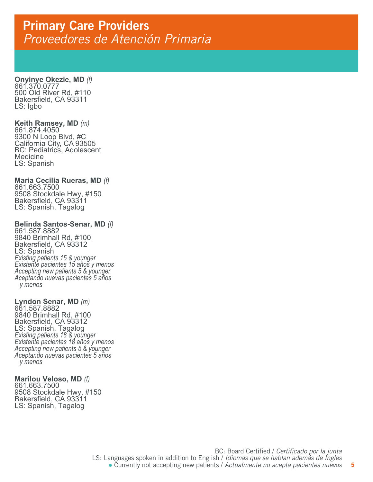**Onyinye Okezie, MD** *(f)* 661.370.0777 500 Old River Rd, #110 Bakersfield, CA 93311 LS: Igbo

**Keith Ramsey, MD**  *(m)* 661.874.4050 9300 N Loop Blvd, #C California City, CA 93505 BC: Pediatrics, Adolescent Medicine LS: Spanish

**Maria Cecilia Rueras, MD** *(f)* 661.663.7500 9508 Stockdale Hwy, #150 Bakersfield, CA 93311 LS: Spanish, Tagalog

## **Belinda Santos-Senar, MD** *(f)* 661.587.8882

9840 Brimhall Rd, #100 Bakersfield, CA 93312 LS: Spanish<br>Existing patients 15 & younger *Existing patients 15 & younger Existente pacientes 15 años y menos Accepting new patients 5 & younger Aceptando nuevas pacientes 5 años y menos*

**Lyndon Senar, MD** *(m)* 661.587.8882 9840 Brimhall Rd, #100 Bakersfield, CA 93312 LS: Spanish, Tagalog<br>Existing patients 18 & younger *Existing patients 18 & younger Existente pacientes 18 años y menos Accepting new patients 5 & younger Aceptando nuevas pacientes 5 años y menos*

## **Marilou Veloso, MD** *(f)* 661.663.7500

9508 Stockdale Hwy, #150 Bakersfield, CA 93311 LS: Spanish, Tagalog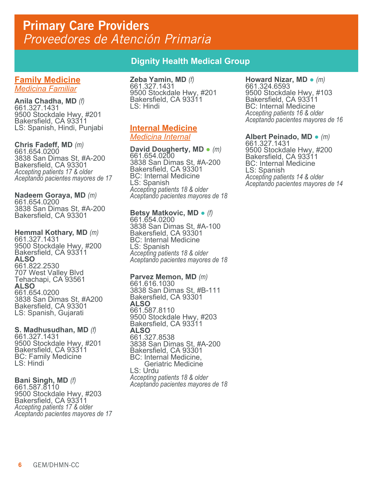**Family Medicine** *Medicina Familiar*

**Anila Chadha, MD** *(f)* 661.327.1431 9500 Stockdale Hwy, #201 Bakersfield, CA 93311 LS: Spanish, Hindi, Punjabi

**Chris Fadeff, MD** *(m)* 661.654.0200 3838 San Dimas St, #A-200 Bakersfield, CA 93301 *Accepting patients 17 & older Aceptando pacientes mayores de 17*

**Nadeem Goraya, MD** *(m)* 661.654.0200 3838 San Dimas St, #A-200 Bakersfield, CA 93301

**Hemmal Kothary, MD** *(m)* 661.327.1431 9500 Stockdale Hwy, #200 Bakersfield, CA 93311 **ALSO** 661.822.2530 707 West Valley Blvd Tehachapi, CA 93561 **ALSO** 661.654.0200 3838 San Dimas St, #A200 Bakersfield, CA 93301 LS: Spanish, Gujarati

**S. Madhusudhan, MD** *(f)* 661.327.1431 9500 Stockdale Hwy, #201 Bakersfield, CA 93311 BC: Family Medicine LS: Hindi

### **Bani Singh, MD** *(f)* 661.587.8110 9500 Stockdale Hwy, #203 Bakersfield, CA 93311 *Accepting patients 17 & older Aceptando pacientes mayores de 17*

## **Dignity Health Medical Group**

**Zeba Yamin, MD** *(f)* 661.327.1431 9500 Stockdale Hwy, #201 Bakersfield, CA 93311 LS: Hindi

## **Internal Medicine** *Medicina Internal*

**David Dougherty, MD** ● *(m)* 661.654.0200 3838 San Dimas St, #A-200 Bakersfield, CA 93301 BC: Internal Medicine LS: Spanish *Accepting patients 18 & older Aceptando pacientes mayores de 18*

## **Betsy Matkovic, MD** ● *(f)* 661.654.0200

3838 San Dimas St, #A-100 Bakersfield, CA 93301 BC: Internal Medicine LS: Spanish *Accepting patients 18 & older Aceptando pacientes mayores de 18*

## **Parvez Memon, MD** *(m)* 661.616.1030

3838 San Dimas St, #B-111 Bakersfield, CA 93301 **ALSO** 661.587.8110 9500 Stockdale Hwy, #203 Bakersfield, CA 93311 **ALSO** 661.327.8538 3838 San Dimas St, #A-200 Bakersfield, CA 93301 BC: Internal Medicine, Geriatric Medicine LS: Urdu *Accepting patients 18 & older Aceptando pacientes mayores de 18*

### **Howard Nizar, MD** ● *(m)* 661.324.6593 9500 Stockdale Hwy, #103 Bakersfield, CA 93311 BC: Internal Medicine *Accepting patients 16 & older Aceptando pacientes mayores de 16*

**Albert Peinado, MD** ● *(m)* 661.327.1431 9500 Stockdale Hwy, #200 Bakersfield, CA 93311 BC: Internal Medicine LS: Spanish *Accepting patients 14 & older Aceptando pacientes mayores de 14*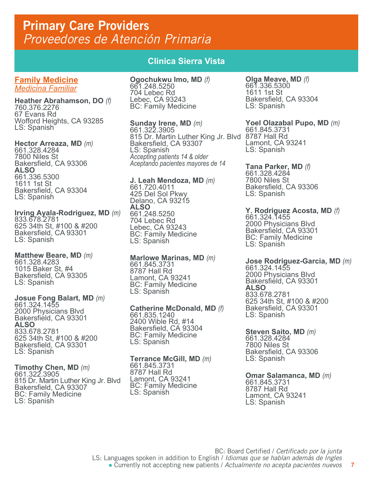**Family Medicine** *Medicina Familiar*

**Heather Abrahamson, DO** *(f)* 760.376.2276 67 Evans Rd Wofford Heights, CA 93285 LS: Spanish

**Hector Arreaza, MD** *(m)* 661.328.4284 7800 Niles St Bakersfield, CA 93306 **ALSO** 661.336.5300 1611 1st St Bakersfield, CA 93304 LS: Spanish

**Irving Ayala-Rodriguez, MD** *(m)* 833.678.2781 625 34th St, #100 & #200 Bakersfield, CA 93301 LS: Spanish

**Matthew Beare, MD** *(m)* 661.328.4283 1015 Baker St, #4 Bakersfield, CA 93305 LS: Spanish

**Josue Fong Balart, MD** *(m)* 661.324.1455

2000 Physicians Blvd Bakersfield, CA 93301 **ALSO** 833.678.2781 625 34th St, #100 & #200 Bakersfield, CA 93301 LS: Spanish

**Timothy Chen, MD** *(m)* 661.322.3905 815 Dr. Martin Luther King Jr. Blvd Bakersfield, CA 93307 BC: Family Medicine LS: Spanish

## **Clinica Sierra Vista**

**Ogochukwu Imo, MD** *(f)* 661.248.5250 704 Lebec Rd Lebec, CA 93243 BC: Family Medicine

**Sunday Irene, MD** *(m)* 661.322.3905 815 Dr. Martin Luther King Jr. Blvd 8787 Hall Rd Bakersfield, CA 93307 LS: Spanish *Accepting patients 14 & older Aceptando pacientes mayores de 14*

**J. Leah Mendoza, MD** *(m)* 661.720.4011 425 Del Sol Pkwy Delano, CA 93215 **ALSO** 661.248.5250 704 Lebec Rd Lebec, CA 93243 BC: Family Medicine LS: Spanish

**Marlowe Marinas, MD** *(m)* 661.845.3731 8787 Hall Rd Lamont, CA 93241 BC: Family Medicine LS: Spanish

**Catherine McDonald, MD** *(f)* 661.835.1240 2400 Wible Rd, #14 Bakersfield, CA 93304 BC: Family Medicine LS: Spanish

**Terrance McGill, MD** *(m)* 661.845.3731 8787 Hall Rd Lamont, CA 93241 BC: Family Medicine LS: Spanish

**Olga Meave, MD** *(f)* 661.336.5300<br>1611 1st St Bakersfield, CA 93304 LS: Spanish

**Yoel Olazabal Pupo, MD** *(m)* 661.845.3731 Lamont, CA 93241 LS: Spanish

**Tana Parker, MD** *(f)* 661.328.4284 7800 Niles St Bakersfield, CA 93306 LS: Spanish

**Y. Rodriguez Acosta, MD** *(f)* 661.324.1455

2000 Physicians Blvd Bakersfield, CA 93301 BC: Family Medicine LS: Spanish

**Jose Rodriguez-Garcia, MD** *(m)* 661.324.1455 2000 Physicians Blvd Bakersfield, CA 93301 **ALSO** 833.678.2781 625 34th St, #100 & #200 Bakersfield, CA 93301 LS: Spanish

**Steven Saito, MD** *(m)* 661.328.4284 7800 Niles St Bakersfield, CA 93306 LS: Spanish

**Omar Salamanca, MD** *(m)* 661.845.3731 8787 Hall Rd Lamont, CA 93241 LS: Spanish

**7**

BC: Board Certified / *Certificado por la junta* LS: Languages spoken in addition to English / *Idiomas que se hablan además de Ingles* ● Currently not accepting new patients / *Actualmente no acepta pacientes nuevos*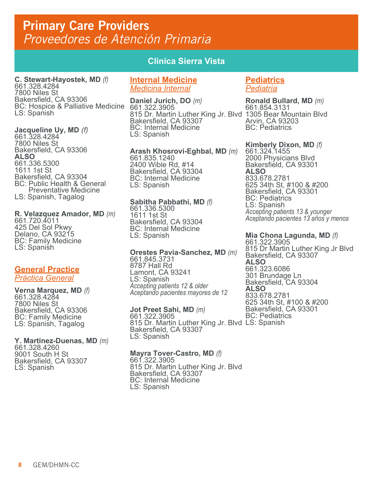**C. Stewart-Hayostek, MD** *(f)* 661.328.4284 7800 Niles St Bakersfield, CA 93306 BC: Hospice & Palliative Medicine **Daniel Jurich, DO** *(m)* 661.322.3905 LS: Spanish

**Jacqueline Uy, MD** *(f)* 661.328.4284 7800 Niles St Bakersfield, CA 93306 **ALSO** 661.336.5300 1611 1st St Bakersfield, CA 93304 BC: Public Health & General Preventative Medicine LS: Spanish, Tagalog

**R. Velazquez Amador, MD** *(m)* 661.720.4011 425 Del Sol Pkwy Delano, CA 93215 BC: Family Medicine LS: Spanish

#### **General Practice** *Práctica General*

**Verna Marquez, MD** *(f)* 661.328.4284 7800 Niles St Bakersfield, CA 93306 BC: Family Medicine LS: Spanish, Tagalog

## **Y. Martinez-Duenas, MD** *(m)* 661.328.4260

9001 South H St Bakersfield, CA 93307 LS: Spanish

## **Clinica Sierra Vista**

## **Internal Medicine** *Medicina Internal*

815 Dr. Martin Luther King Jr. Blvd 1305 Bear Mountain Blvd Bakersfield, CA 93307 BC: Internal Medicine LS: Spanish

**Arash Khosrovi-Eghbal, MD** *(m)* 661.835.1240 2400 Wible Rd, #14 Bakersfield, CA 93304 BC: Internal Medicine LS: Spanish

## **Sabitha Pabbathi, MD** *(f)* 661.336.5300 1611 1st St Bakersfield, CA 93304 BC: Internal Medicine LS: Spanish

**Orestes Pavia-Sanchez, MD** *(m)* 661.845.3731 8787 Hall Rd Lamont, CA 93241 LS: Spanish *Accepting patients 12 & older Aceptando pacientes mayores de 12*

**Jot Preet Sahi, MD** *(m)* 661.322.3905 815 Dr. Martin Luther King Jr. Blvd LS: SpanishBakersfield, CA 93307 LS: Spanish

## **Mayra Tover-Castro, MD** *(f)* 661.322.3905

815 Dr. Martin Luther King Jr. Blvd Bakersfield, CA 93307 BC: Internal Medicine LS: Spanish

## **Pediatrics** *Pediatría*

**Ronald Bullard, MD** *(m)* 661.854.3131 Arvin, CA 93203 BC: Pediatrics

**Kimberly Dixon, MD** *(f)* 661.324.1455 2000 Physicians Blvd Bakersfield, CA 93301 **ALSO** 833.678.2781 625 34th St, #100 & #200 Bakersfield, CA 93301 BC: Pediatrics LS: Spanish *Accepting patients 13 & younger Aceptando pacientes 13 años y menos*

## **Mia Chona Lagunda, MD** *(f)* 661.322.3905

815 Dr Martin Luther King Jr Blvd Bakersfield, CA 93307 **ALSO** 661.323.6086 301 Brundage Ln Bakersfield, CA 93304 **ALSO** 833.678.2781 625 34th St, #100 & #200 Bakersfield, CA 93301 BC: Pediatrics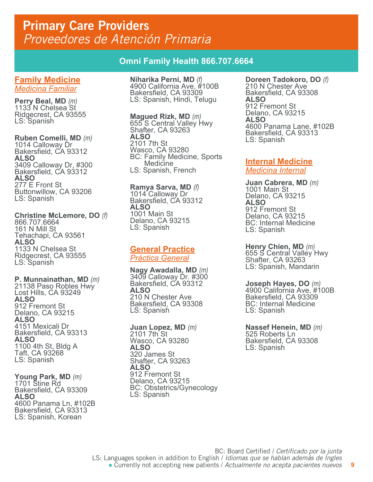## **Omni Family Health 866.707.6664**

#### **Family Medicine** *Medicina Familiar*

**Perry Beal, MD** *(m)* 1133 N Chelsea St Ridgecrest, CA 93555 LS: Spanish

**Ruben Comelli, MD** *(m)* 1014 Calloway Dr Bakersfield, CA 93312 **ALSO** 3409 Calloway Dr, #300 Bakersfield, CA 93312 **ALSO** 277 E Front St Buttonwillow, CA 93206 LS: Spanish

#### **Christine McLemore, DO** *(f)* 866.707.6664 161 N Mill St Tehachapi, CA 93561 **ALSO** 1133 N Chelsea St Ridgecrest, CA 93555 LS: Spanish

**P. Munnainathan, MD** *(m)* 21138 Paso Robles Hwy Lost Hills, CA 93249 **ALSO** 912 Fremont St Delano, CA 93215 **ALSO** 4151 Mexicali Dr Bakersfield, CA 93313 **ALSO** 1100 4th St, Bldg A Taft, CA 93268 LS: Spanish

#### **Young Park, MD** *(m)* 1701 Stine Rd Bakersfield, CA 93309 **ALSO** 4600 Panama Ln, #102B Bakersfield, CA 93313 LS: Spanish, Korean

**Niharika Perni, MD** *(f)* 4900 California Ave, #100B Bakersfield, CA 93309 LS: Spanish, Hindi, Telugu

**Magued Rizk, MD** *(m)* 655 S Central Valley Hwy Shafter, CA 93263 **ALSO** 2101 7th St Wasco, CA 93280 BC: Family Medicine, Sports **Medicine** LS: Spanish, French

**Ramya Sarva, MD** *(f)* 1014 Calloway Dr Bakersfield, CA 93312 **ALSO** 1001 Main St Delano, CA 93215 LS: Spanish

## **General Practice**

*Práctica General*

**Nagy Awadalla, MD** *(m)* 3409 Calloway Dr. #300 Bakersfield, CA 93312 **ALSO** 210 N Chester Ave Bakersfield, CA 93308 LS: Spanish

**Juan Lopez, MD** *(m)* 2101 7th St Wasco, CA 93280 **ALSO** 320 James St Shafter, CA 93263 **ALSO** 912 Fremont St Delano, CA 93215 BC: Obstetrics/Gynecology LS: Spanish

**Doreen Tadokoro, DO** *(f)* 210 N Chester Ave Bakersfield, CA 93308 **ALSO** 912 Fremont St Delano, CA 93215 **ALSO** 4600 Panama Lane, #102B Bakersfield, CA 93313 LS: Spanish

## **Internal Medicine**

*Medicina Internal*

**Juan Cabrera, MD** *(m)* 1001 Main St Delano, CA 93215 **ALSO** 912 Fremont St Delano, CA 93215 BC: Internal Medicine LS: Spanish

**Henry Chien, MD** *(m)* 655 S Central Valley Hwy Shafter, CA 93263 LS: Spanish, Mandarin

**Joseph Hayes, DO** *(m)* 4900 California Ave, #100B Bakersfield, CA 93309 BC: Internal Medicine LS: Spanish

**Nassef Henein, MD** *(m)* 525 Roberts Ln Bakersfield, CA 93308 LS: Spanish

**9**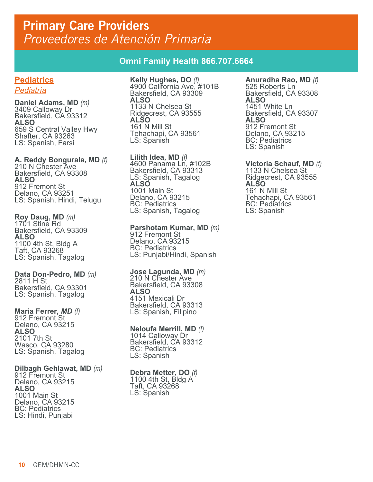## **Omni Family Health 866.707.6664**

## **Pediatrics**

*Pediatría*

**Daniel Adams, MD** *(m)* 3409 Calloway Dr Bakersfield, CA 93312 **ALSO** 659 S Central Valley Hwy Shafter, CA 93263 LS: Spanish, Farsi

**A. Reddy Bongurala, MD** *(f)* 210 N Chester Ave Bakersfield, CA 93308 **ALSO** 912 Fremont St Delano, CA 93251 LS: Spanish, Hindi, Telugu

**Roy Daug, MD** *(m)* 1701 Stine Rd Bakersfield, CA 93309 **ALSO** 1100 4th St, Bldg A Taft, CA 93268 LS: Spanish, Tagalog

**Data Don-Pedro, MD** *(m)* 2811 H St Bakersfield, CA 93301 LS: Spanish, Tagalog

**Maria Ferrer***, MD (f)* 912 Fremont St Delano, CA 93215 **ALSO** 2101 7th St Wasco, CA 93280 LS: Spanish, Tagalog

**Dilbagh Gehlawat, MD** *(m)* 912 Fremont St Delano, CA 93215 **ALSO** 1001 Main St Delano, CA 93215 BC: Pediatrics LS: Hindi, Punjabi

**Kelly Hughes, DO** *(f)* 4900 California Ave, #101B Bakersfield, CA 93309 **ALSO** 1133 N Chelsea St Ridgecrest, CA 93555 **ALSO** 161 N Mill St Tehachapi, CA 93561 LS: Spanish

**Lilith Idea, MD** *(f)* 4600 Panama Ln, #102B Bakersfield, CA 93313 LS: Spanish, Tagalog **ALSO** 1001 Main St Delano, CA 93215 BC: Pediatrics LS: Spanish, Tagalog

**Parshotam Kumar, MD** *(m)*<br>912 Fremont St Delano, CA 93215 BC: Pediatrics LS: Punjabi/Hindi, Spanish

**Jose Lagunda, MD** *(m)* 210 N Chester Ave Bakersfield, CA 93308 **ALSO** 4151 Mexicali Dr Bakersfield, CA 93313 LS: Spanish, Filipino

**Neloufa Merrill, MD** *(f)* 1014 Calloway Dr Bakersfield, CA 93312 BC: Pediatrics LS: Spanish

**Debra Metter, DO** *(f)* 1100 4th St, Bldg A Taft, CA 93268 LS: Spanish

**Anuradha Rao, MD** *(f)* 525 Roberts Ln Bakersfield, CA 93308 **ALSO** 1451 White Ln Bakersfield, CA 93307 **ALSO** 912 Fremont St Delano, CA 93215 BC: Pediatrics LS: Spanish

**Victoria Schauf, MD** *(f)* 1133 N Chelsea St Ridgecrest, CA 93555 **ALSO** 161 N Mill St Tehachapi, CA 93561 BC: Pediatrics LS: Spanish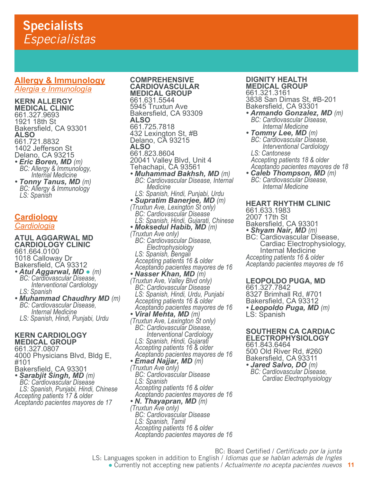## **Specialists** *Especialistas*

### **Allergy & Immunology** *Alergia e Inmunología*

**KERN ALLERGY MEDICAL CLINIC** 661.327.9693 1921 18th St Bakersfield, CA 93301 **ALSO** 661.721.8832 1402 Jefferson St Delano, CA 93215<br>• *Eric Boren, MD (m)* 

- *Eric Boren, MD (m) BC: Allergy & Immunology, Internal Medicine*<br>**• Tonny Tanus, MD** (m)
- *Tonny Tanus, MD (m) BC: Allergy & Immunology LS: Spanish*

## **Cardiology** *Cardiologia*

**ATUL AGGARWAL MD CARDIOLOGY CLINIC** 661.664.0100 1018 Calloway Dr Bakersfield, CA 93312 *• Atul Aggarwal, MD* ● *(m) BC: Cardiovascular Disease,*

- *Interventional Cardiology LS: Spanish*
- *Muhammad Chaudhry MD (m) BC: Cardiovascular Disease, Internal Medicine LS: Spanish, Hindi, Punjabi, Urdu*

#### **KERN CARDIOLOGY MEDICAL GROUP**

661.327.0807

4000 Physicians Blvd, Bldg E, #101 Bakersfield, CA 93301

*• Sarabjit Singh, MD (m) BC: Cardiovascular Disease LS: Spanish, Punjabi, Hindi, Chinese Accepting patients 17 & older Aceptando pacientes mayores de 17*

**COMPREHENSIVE CARDIOVASCULAR MEDICAL GROUP** 661.631.5544 5945 Truxtun Ave Bakersfield, CA 93309 **ALSO** 661.725.7818 432 Lexington St, #B Delano, CA 93215 **ALSO** 661.823.8604 20041 Valley Blvd, Unit 4 Tehachapi, CA 93561 *• Muhammad Bakhsh, MD (m) BC: Cardiovascular Disease, Internal Medicine LS: Spanish, Hindi, Punjabi, Urdu • Supratim Banerjee, MD (m) (Truxtun Ave, Lexington St only) BC: Cardiovascular Disease LS: Spanish, Hindi, Gujarati, Chinese • Moksedul Habib, MD (m) (Truxtun Ave only) BC: Cardiovascular Disease, Electrophysiology LS: Spanish, Bengali Accepting patients 16 & older Aceptando pacientes mayores de 16 • Nasser Khan, MD (m) (Truxtun Ave, Valley Blvd only) BC: Cardiovascular Disease LS: Spanish, Hindi, Urdu, Punjabi Accepting patients 16 & older Aceptando pacientes mayores de 16 • Viral Mehta, MD (m) (Truxtun Ave, Lexington St only) BC: Cardiovascular Disease, Interventional Cardiology LS: Spanish, Hindi, Gujarati Accepting patients 16 & older Aceptando pacientes mayores de 16 • Emad Najjar, MD (m) (Truxtun Ave only) BC: Cardiovascular Disease LS: Spanish Accepting patients 16 & older Aceptando pacientes mayores de 16 • N. Thayapran, MD (m) (Truxtun Ave only) BC: Cardiovascular Disease LS: Spanish, Tamil Accepting patients 16 & older Aceptando pacientes mayores de 16*

## **DIGNITY HEALTH MEDICAL GROUP**

661.321.3161 3838 San Dimas St, #B-201 Bakersfield, CA 93301

- *Armando Gonzalez, MD (m) BC: Cardiovascular Disease, Internal Medicine*
- *BC: Cardiovascular Diséase,<br>Interventional Cardiology<br>LS: Cantonese Accepting patients 18 & older Aceptando pacientes mayores de 18*
- *Caleb Thompson, MD (m) BC: Cardiovascular Disease, Internal Medicine*

**HEART RHYTHM CLINIC** 661.633.1983 2007 17th St Bakersfield, CA 93301<br>• Shyam Nair, MD (m) **BC: Cardiovascular Disease,**  Cardiac Electrophysiology, Internal Medicine *Accepting patients 16 & older Aceptando pacientes mayores de 16*

**LEOPOLDO PUGA, MD** 661.327.7842

8327 Brimhall Rd, #701 Bakersfield, CA 93312 *• Leopoldo Puga, MD (m)* LS: Spanish

**SOUTHERN CA CARDIAC ELECTROPHYSIOLOGY** 661.843.6464 500 Old River Rd, #260 Bakersfield, CA 93311<br>• Jared Salvo, DO (m) *• Jared Salvo, DO (m) BC: Cardiovascular Disease,* 

*Cardiac Electrophysiology*

BC: Board Certified / *Certificado por la junta*

LS: Languages spoken in addition to English / *Idiomas que se hablan además de Ingles*

**11** ● Currently not accepting new patients / *Actualmente no acepta pacientes nuevos*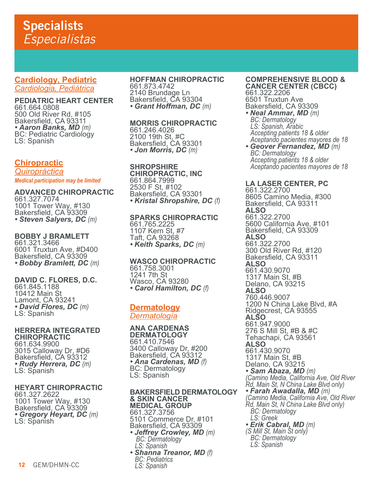## **Specialists** *Especialistas*

## **Cardiology, Pediatric** *Cardiologia, Pediátrica*

**PEDIATRIC HEART CENTER** 661.664.0808 500 Old River Rd, #105 Bakersfield, CA 93311<br>• Aaron Banks, MD (m) *• Aaron Banks, MD (m)* BC: Pediatric Cardiology LS: Spanish

## **Chiropractic**

*Quiropráctica Medical participation may be limited*

**ADVANCED CHIROPRACTIC** 661.327.7074 1001 Tower Way, #130 Bakersfield, CA 93309 *• Steven Salyers, DC (m)*

**BOBBY J BRAMLETT** 661.321.3466 6001 Truxtun Ave, #D400 Bakersfield, CA 93309 *• Bobby Bramlett, DC (m)*

**DAVID C. FLORES, D.C.** 661.845.1188 10412 Main St Lamont, CA 93241 *• David Flores, DC (m)* LS: Spanish

**HERRERA INTEGRATED CHIROPRACTIC** 661.634.9900 3015 Calloway Dr, #D6 Bakersfield, CA 93312 *• Rudy Herrera, DC (m)* LS: Spanish

## **HEYART CHIROPRACTIC**

661.327.2622 1001 Tower Way, #130 Bakersfield, CA 93309 *• Gregory Heyart, DC (m)* LS: Spanish

#### **HOFFMAN CHIROPRACTIC** 661.873.4742 2140 Brundage Ln Bakersfield, CA 93304 *• Grant Hoffman, DC (m)*

**MORRIS CHIROPRACTIC** 661.246.4026 2100 19th St, #C Bakersfield, CA 93301 *• Jon Morris, DC (m)*

**SHROPSHIRE CHIROPRACTIC, INC** 661.864.7999 2530 F St, #102 Bakersfield, CA 93301 *• Kristal Shropshire, DC (f)*

**SPARKS CHIROPRACTIC** 661.765.2225 1107 Kern St, #7 Taft, CA 93268 *• Keith Sparks, DC (m)*

**WASCO CHIROPRACTIC** 661.758.3001 1241 7th St

Wasco, CA 93280 *• Carol Hamilton, DC (f)*

## **Dermatology** *Dermatología*

**ANA CARDENAS DERMATOLOGY** 661.410.7546 3400 Calloway Dr, #200 Bakersfield, CA 93312 *• Ana Cardenas, MD (f)* BC: Dermatology LS: Spanish

**BAKERSFIELD DERMATOLOGY & SKIN CANCER MEDICAL GROUP** 661.327.3756 5101 Commerce Dr, #101 Bakersfield, CA 93309 **• Jeffrey Crowley, MD** (m) **BC: Dermatology**<br>LS: Spanish **• Shanna Treanor, MD (f)**  *LS: Spanish*

**COMPREHENSIVE BLOOD & CANCER CENTER (CBCC)** 661.322.2206 6501 Truxtun Ave Bakersfield, CA 93309

• Neal Ammar, MD (m)  *LS: Spanish, Arabic Accepting patients 18 & older Aceptando pacientes mayores de 18*

*• Geover Fernandez, MD (m) BC: Dermatology Accepting patients 18 & older Aceptando pacientes mayores de 18*

**LA LASER CENTER, PC** 661.322.2700 8605 Camino Media, #300 Bakersfield, CA 93311 **ALSO** 661.322.2700 5600 California Ave, #101 Bakersfield, CA 93309 **ALSO** 661.322.2700 300 Old River Rd, #120 Bakersfield, CA 93311 **ALSO** 661.430.9070 1317 Main St, #B Delano, CA 93215 **ALSO** 760.446.9007 1200 N China Lake Blvd, #A Ridgecrest, CA 93555 **ALSO** 661.947.9000 276 S Mill St, #B & #C Tehachapi, CA 93561 **ALSO** 661.430.9070 1317 Main St, #B Delano, CA 93215<br>• Sam Abaza, MD (m) *• Sam Abaza, MD (m) (Camino Media, California Ave, Old River Rd, Main St, N China Lake Blvd only) • Farah Awadalla, MD (m) (Camino Media, California Ave, Old River Rd, Main St, N China Lake Blvd only) BC: Dermatology LS: Greek • Erik Cabral, MD (m) (S Mill St, Main St only) BC: Dermatology LS: Spanish*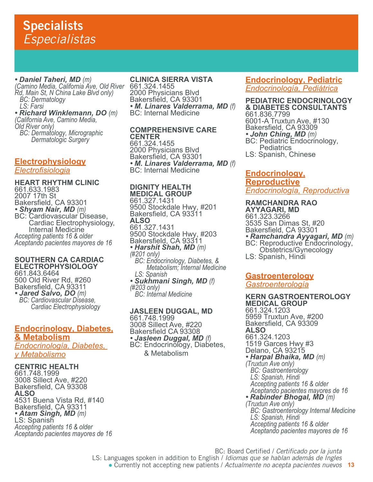*• Daniel Taheri, MD (m) (Camino Media, California Ave, Old River Rd, Main St, N China Lake Blvd only) BC: Dermatology LS: Farsi*

*• Richard Winklemann, DO (m) (California Ave, Camino Media, Old River only) BC: Dermatology, Micrographic Dermatologic Surgery*

## **Electrophysiology**

*Electrofisiologia*

**HEART RHYTHM CLINIC** 661.633.1983 2007 17th St Bakersfield, CA 93301<br>• Shyam Nair, MD (m) **BC: Cardiovascular Disease,**  Cardiac Electrophysiology, Internal Medicine *Accepting patients 16 & older Aceptando pacientes mayores de 16*

#### **SOUTHERN CA CARDIAC ELECTROPHYSIOLOGY** 661.843.6464 500 Old River Rd, #260 Bakersfield, CA 93311<br>• Jared Salvo, DO (m) *• Jared Salvo, DO (m) BC: Cardiovascular Disease, Cardiac Electrophysiology*

## **Endocrinology, Diabetes, & Metabolism**

*Endocrinología, Diabetes, y Metabolismo*

## **CENTRIC HEALTH**

661.748.1999 3008 Sillect Ave, #220 Bakersfield, CA 93308 **ALSO** 4531 Buena Vista Rd, #140 Bakersfield, CA 93311 *• Atam Singh, MD (m)* LS: Spanish *Accepting patients 16 & older Aceptando pacientes mayores de 16*

## **CLINICA SIERRA VISTA**

661.324.1455 2000 Physicians Blvd Bakersfield, CA 93301 *• M. Linares Valderrama, MD (f)* BC: Internal Medicine

## **COMPREHENSIVE CARE CENTER**

661.324.1455 2000 Physicians Blvd Bakersfield, CA 93301 **•** *M. Linares Valderrama, MD (f)*<br>BC: Internal Medicine

## **DIGNITY HEALTH MEDICAL GROUP**

661.327.1431 9500 Stockdale Hwy, #201 Bakersfield, CA 93311 **ALSO** 661.327.1431 9500 Stockdale Hwy, #203 Bakersfield, CA 93311 *• Harshit Shah, MD (m) (#201 only) BC: Endocrinology, Diabetes, & Metabolism; Internal Medicine LS: Spanish • Sukhmani Singh, MD (f) (#203 only) BC: Internal Medicine*

#### **JASLEEN DUGGAL, MD** 661.748.1999 3008 Sillect Ave, #220 Bakersfield CA 93308<br>• Jasleen Duggal, MD (f) *• Jasleen Duggal, MD (f)* BC: Endocrinology, Diabetes,

& Metabolism

## **Endocrinology, Pediatric** *Endocrinología, Pediátrica*

**PEDIATRIC ENDOCRINOLOGY & DIABETES CONSULTANTS** 661.836.7799 6001-A Truxtun Ave, #130 Bakersfield, CA 93309 • **John Ching, MD** (m)<br>BC: Pediatric Endocrinology, **Pediatrics** LS: Spanish, Chinese

## **Endocrinology, Reproductive** *Endocrinología, Reproductiva*

#### **RAMCHANDRA RAO AYYAGARI, MD** 661.323.3266 3535 San Dimas St, #20 Bakersfield, CA 93301 *• Ramchandra Ayyagari, MD (m)* BC: Reproductive Endocrinology, Obstetrics/Gynecology LS: Spanish, Hindi

## **Gastroenterology**

*Gastroenterología*

**KERN GASTROENTEROLOGY MEDICAL GROUP** 661.324.1203 5959 Truxtun Ave, #200 Bakersfield, CA 93309 **ALSO** 661.324.1203 1519 Garces Hwy #3 Delano, CA 93215 *• Harpal Bhaika, MD (m) (Truxtun Ave only) BC: Gastroenterology LS: Spanish, Hindi Accepting patients 16 & older Aceptando pacientes mayores de 16 • Rabinder Bhogal, MD (m) (Truxtun Ave only) BC: Gastroenterology Internal Medicine LS: Spanish, Hindi Accepting patients 16 & older*

 *Aceptando pacientes mayores de 16*

BC: Board Certified / *Certificado por la junta*

LS: Languages spoken in addition to English / *Idiomas que se hablan además de Ingles*

**13** ● Currently not accepting new patients / *Actualmente no acepta pacientes nuevos*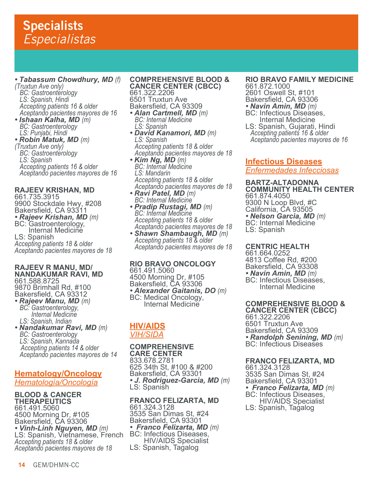## **Specialists** *Especialistas*

## *• Tabassum Chowdhury, MD (f) (Truxtun Ave only)*

 *BC: Gastroenterology LS: Spanish, Hindi Accepting patients 16 & older Aceptando pacientes mayores de 16*

*• Ishaan Kalha, MD (m) BC: Gastroenterology LS: Punjabi, Hindi*

### *• Robin Matuk, MD (m) (Truxtun Ave only) BC: Gastroenterology LS: Spanish Accepting patients 16 & older Aceptando pacientes mayores de 16*

**RAJEEV KRISHAN, MD** 661.735.3915 9900 Stockdale Hwy, #208 Bakersfield, CA 93311 *• Rajeev Krishan, MD (m)* BC: Gastroenterology, Internal Medicine LS: Spanish *Accepting patients 18 & older Aceptando pacientes mayores de 18*

#### **RAJEEV R MANU, MD/ NANDAKUMAR RAVI, MD** 661.588.8725 9870 Brimhall Rd, #100 Bakersfield, CA 93312

- *Rajeev Manu, MD (m) BC: Gastroenterology, Internal Medicine LS: Spanish, Indian*
- *Nandakumar Ravi, MD (m) BC: Gastroenterology LS: Spanish, Kannada Accepting patients 14 & older Aceptando pacientes mayores de 14*

## **Hematology/Oncology** *Hematología/Oncología*

**BLOOD & CANCER THERAPEUTICS** 661.491.5060 4500 Morning Dr, #105 Bakersfield, CA 93306 *• Vinh-Linh Nguyen, MD (m)* LS: Spanish, Vietnamese, French *Accepting patients 18 & older Aceptando pacientes mayores de 18*

**COMPREHENSIVE BLOOD & CANCER CENTER (CBCC)** 661.322.2206 6501 Truxtun Ave Bakersfield, CA 93309

- *Alan Cartmell, MD (m) BC: Internal Medicine LS: Spanish*
- *David Kanamori, MD (m) LS: Spanish Accepting patients 18 & older Aceptando pacientes mayores de 18*
- *Kim Ng, MD (m) BC: Internal Medicine LS: Mandarin Accepting patients 18 & older Aceptando pacientes mayores de 18*
- *Ravi Patel, MD (m) BC: Internal Medicine*
- *Pradip Rustagi, MD (m) BC: Internal Medicine Accepting patients 18 & older Aceptando pacientes mayores de 18*
- *Shawn Shambaugh, MD (m) Accepting patients 18 & older Aceptando pacientes mayores de 18*

**RIO BRAVO ONCOLOGY** 661.491.5060 4500 Morning Dr, #105 Bakersfield, CA 93306 • *Alexander Gaitanis, DO (m)*<br>BC: Medical Oncology, Internal Medicine

## **HIV/AIDS**

*VIH/SIDA*

## **COMPREHENSIVE**

**CARE CENTER** 833.678.2781 625 34th St, #100 & #200 Bakersfield, CA 93301 *• J. Rodriguez-Garcia, MD (m)* LS: Spanish

## **FRANCO FELIZARTA, MD**

661.324.3128 3535 San Dimas St, #24 Bakersfield, CA 93301 *• Franco Felizarta, MD (m)* BC: Infectious Diseases, HIV/AIDS Specialist LS: Spanish, Tagalog

#### **RIO BRAVO FAMILY MEDICINE** 661.872.1000

2601 Oswell St, #101 Bakersfield, CA 93306<br>• *Navin Amin, MD (m)* 

- **BC: Infectious Diseases,** Internal Medicine
- LS: Spanish, Gujarati, Hindi  *Accepting patients 16 & older Aceptando pacientes mayores de 16*

## **Infectious Diseases**

*Enfermedades Infecciosas*

**BARTZ-ALTADONNA COMMUNITY HEALTH CENTER** 661.874.4050 9300 N Loop Blvd, #C California, CA 93505 *• Nelson Garcia, MD (m)* BC: Internal Medicine LS: Spanish

## **CENTRIC HEALTH**

661.664.0252 4813 Coffee Rd, #200 Bakersfield, CA 93308<br>• *Navin Amin, MD (m)* **BC: Infectious Diseases,** Internal Medicine

## **COMPREHENSIVE BLOOD &**

**CANCER CENTER (CBCC)** 661.322.2206 6501 Truxtun Ave Bakersfield, CA 93309 *• Randolph Senining, MD (m)* BC: Infectious Diseases

## **FRANCO FELIZARTA, MD**

661.324.3128 3535 San Dimas St, #24 Bakersfield, CA 93301<br>• *Franco Felizarta, MD (m) • Franco Felizarta, MD (m)* BC: Infectious Diseases, **HIV/AIDS** Specialist LS: Spanish, Tagalog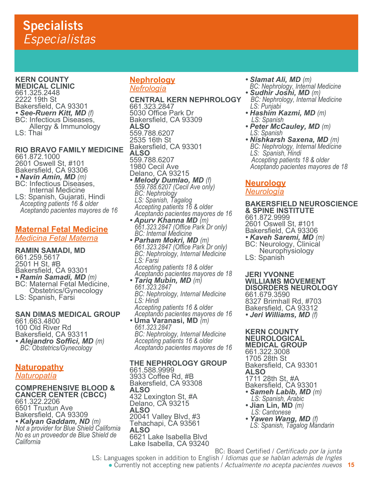**KERN COUNTY MEDICAL CLINIC** 661.325.2448 2222 19th St Bakersfield, CA 93301<br>• See-Ruern Kitt, MD (f) *• See-Ruern Kitt, MD (f)* BC: Infectious Diseases, Allergy & Immunology LS: Thai

## **RIO BRAVO FAMILY MEDICINE**

661.872.1000 2601 Oswell St, #101 Bakersfield, CA 93306 *• Navin Amin, MD (m)* BC: Infectious Diseases, Internal Medicine LS: Spanish, Gujarati, Hindi  *Accepting patients 16 & older Aceptando pacientes mayores de 16*

## **Maternal Fetal Medicine**

*Medicina Fetal Materna*

**RAMIN SAMADI, MD** 661.259.5617 2501 H St, #B Bakersfield, CA 93301<br>• Ramin Samadi, MD (m) *• Ramin Samadi, MD (m)* BC: Maternal Fetal Medicine, Obstetrics/Gynecology LS: Spanish, Farsi

## **SAN DIMAS MEDICAL GROUP**

661.663.4800 100 Old River Rd Bakersfield, CA 93311 *• Alejandro Soffici, MD (m) BC: Obstetrics/Gynecology*

#### **Naturopathy** *Naturopatía*

## **COMPREHENSIVE BLOOD & CANCER CENTER (CBCC)**

661.322.2206 6501 Truxtun Ave Bakersfield, CA 93309<br>• Kalyan Gaddam, ND (m) *• Kalyan Gaddam, ND (m) Not a provider for Blue Shield California No es un proveedor de Blue Shield de California*

## **Nephrology** *Nefrología*

**CENTRAL KERN NEPHROLOGY** 661.323.2847 5030 Office Park Dr Bakersfield, CA 93309 **ALSO** 559.788.6207 2535 16th St Bakersfield, CA 93301 **ALSO** 559.788.6207 1980 Cecil Ave Delano, CA 93215 *• Melody Dumlao, MD (f) 559.788.6207 (Cecil Ave only) BC: Nephrology*

 *LS: Spanish, Tagalog Accepting patients 16 & older Aceptando pacientes mayores de 16*

- *Apurv Khanna MD (m) 661.323.2847 (Office Park Dr only) BC: Internal Medicine*
- *Parham Mokri, MD (m) 661.323.2847 (Office Park Dr only) BC: Nephrology, Internal Medicine LS: Farsi Accepting patients 18 & older*
- *Aceptando pacientes mayores de 18 • Tariq Mubin, MD (m) 661.323.2847 BC: Nephrology, Internal Medicine LS: Hindi Accepting patients 16 & older Aceptando pacientes mayores de 16*
- **Uma Varanasi, MD** *(m) 661.323.2847 BC: Nephrology, Internal Medicine Accepting patients 16 & older Aceptando pacientes mayores de 16*

## **THE NEPHROLOGY GROUP**

661.588.9999 3933 Coffee Rd, #B Bakersfield, CA 93308 **ALSO** 432 Lexington St, #A Delano, CA 93215 **ALSO** 20041 Valley Blvd, #3 Tehachapi, CA 93561 **ALSO** 6621 Lake Isabella Blvd Lake Isabella, CA 93240

- 
- *Slamat Ali, MD (m) BC: Nephrology, Internal Medicine • Sudhir Joshi, MD (m) BC: Nephrology, Internal Medicine*
- *LS: Punjabi*
- *Hashim Kazmi, MD (m)**LS: Spanish*
- *Peter McCauley, MD (m) LS: Spanish*
- *Nishkarsh Saxena, MD (m) BC: Nephrology, Internal Medicine LS: Spanish, Hindi Accepting patients 18 & older Aceptando pacientes mayores de 18*

## **Neurology**

## *Neurología*

**BAKERSFIELD NEUROSCIENCE & SPINE INSTITUTE** 661.872.9999

2601 Oswell St, #101 Bakersfield, CA 93306

*• Kaveh Saremi, MD (m)* BC: Neurology, Clinical Neurophysiology LS: Spanish

**JERI YVONNE WILLIAMS MOVEMENT DISORDERS NEUROLOGY** 661.679.3590 8327 Brimhall Rd, #703 Bakersfield, CA 93312

*• Jeri Williams, MD (f)*

#### **KERN COUNTY NEUROLOGICAL MEDICAL GROUP** 661.322.3008

1705 28th St Bakersfield, CA 93301 **ALSO** 1711 28th St, #A

- Bakersfield, CA 93301 *• Sameh Labib, MD (m)**LS: Spanish, Arabic*
- 
- **Jian Lin, MD** *(m) LS: Cantonese*
- *LS: Spanish, Tagalog Mandarin*

BC: Board Certified / *Certificado por la junta*

**15** ● Currently not accepting new patients / *Actualmente no acepta pacientes nuevos* LS: Languages spoken in addition to English / *Idiomas que se hablan además de Ingles*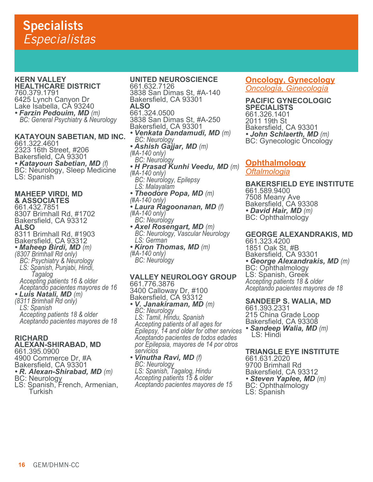**KERN VALLEY HEALTHCARE DISTRICT** 760.379.1791 6425 Lynch Canyon Dr Lake Isabella, CÀ 93240<br>• *Farzin Pedouim, MD (m)* 

*• Farzin Pedouim, MD (m) BC: General Psychiatry & Neurology*

**KATAYOUN SABETIAN, MD INC.** 661.322.4601 2323 16th Street, #206 Bakersfield, CA 93301 *• Katayoun Sabetian, MD (f)* BC: Neurology, Sleep Medicine BC: Neurology, Sleep Medicine<br>LS: Spanish

**MAHEEP VIRDI, MD & ASSOCIATES** 661.432.7851 8307 Brimhall Rd, #1702 Bakersfield, CA 93312 **ALSO** 8311 Brimhall Rd, #1903 Bakersfield, CA 93312 *• Maheep Birdi, MD (m) (8307 Brimhall Rd only) BC: Psychiatry & Neurology LS: Spanish, Punjabi, Hindi, Tagalog Accepting patients 16 & older Aceptando pacientes mayores de 16 • Luis Natali, MD (m) (8311 Brimhall Rd only) LS: Spanish Accepting patients 18 & older Aceptando pacientes mayores de 18*

#### **RICHARD**

#### **ALEXAN-SHIRABAD, MD**

661.395.0900

- 4900 Commerce Dr, #A
- Bakersfield, CA 93301
- **R. Alexan-Shirabad, MD** (m)<br>BC: Neurology
- 
- LS: Spanish, French, Armenian, Turkish

**UNITED NEUROSCIENCE** 661.632.7126 3838 San Dimas St, #A-140 Bakersfield, CA 93301 **ALSO** 661.324.0500 3838 San Dimas St, #A-250 Bakersfield, CA 93301 *• Venkata Dandamudi, MD (m) BC: Neurology • Ashish Gajjar, MD (m) (#A-140 only) BC: Neurology • H Prasad Kunhi Veedu, MD (m) (#A-140 only) BC: Neurology, Epilepsy LS: Malayalam • Theodore Popa, MD (m) (#A-140 only) • Laura Ragoonanan, MD (f) (#A-140 only)* ` *BC: Neurology*<br>• *Axel Rosengart, MD (m) • Axel Rosengart, MD (m) BC: Neurology, Vascular Neurology LS: German • Kiron Thomas, MD (m) (#A-140 only) BC: Neurology*

#### **VALLEY NEUROLOGY GROUP** 661.776.3876 3400 Calloway Dr, #100

Bakersfield, CA 93312 *• V. Janakiraman, MD (m) BC: Neurology LS: Tamil, Hindu, Spanish Accepting patients of all ages for Epilepsy, 14 and older for other services Aceptando pacientes de todos edades por Epilepsia, mayores de 14 por otros servicios*

*• Vinutha Ravi, MD (f) BC: Neurology LS: Spanish, Tagalog, Hindu Accepting patients 15 & older Aceptando pacientes mayores de 15*

#### **Oncology, Gynecology** *Oncología, Ginecología*

**PACIFIC GYNECOLOGIC SPECIALISTS** 661.326.1401 2011 19th St Bakersfield, CA 93301 **• John Schlaerth, MD** (m)<br>BC: Gynecologic Oncology

### **Ophthalmology** *Oftalmologia*

**BAKERSFIELD EYE INSTITUTE** 661.589.9400 7508 Meany Ave Bakersfield, CA 93308 *• David Hair, MD (m)* BC: Ophthalmology

## **GEORGE ALEXANDRAKIS, MD**

661.323.4200 1851 Oak St, #B Bakersfield, CA 93301 *• George Alexandrakis, MD (m)* BC: Ophthalmology LS: Spanish, Greek *Accepting patients 18 & older Aceptando pacientes mayores de 18*

### **SANDEEP S. WALIA, MD**

661.393.2331 215 China Grade Loop Bakersfield, CA 93308 *• Sandeep Walia, MD (m)* LS: Hindi

### **TRIANGLE EYE INSTITUTE**

661.631.2020 9700 Brimhall Rd Bakersfield, CA 93312<br>• Steven Yaplee, MD (m) *• Steven Yaplee, MD (m)* BC: Ophthalmology LS: Spanish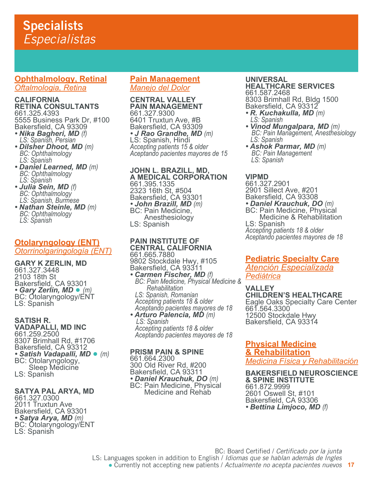## **Specialists** *Especialistas*

## **Ophthalmology, Retinal** *Oftalmologia, Retina*

#### **CALIFORNIA RETINA CONSULTANTS** 661.325.4393

5555 Business Park Dr, #100 Bakersfield, CA 93309

- *Nika Bagheri, MD (f) LS: Spanish, Persian*
- Dilsher Dhoot, MD (m)  *LS: Spanish*
- *Daniel Learned, MD (m) BC: Ophthalmology LS: Spanish*
- *Julia Sein, MD (f) BC: Ophthalmology LS: Spanish, Burmese*
- *Nathan Steinle, MD (m) BC: Ophthalmology LS: Spanish*

## **Otolaryngology (ENT)** *Otorrinolgaringología (ENT)*

**GARY K ZERLIN, MD** 661.327.3448 2103 18th St Bakersfield, CA 93301<br>• Gary Zerlin, MD • (m) **BC: Otolaryngology/ENT** LS: Spanish

#### **SATISH R. VADAPALLI, MD INC** 661.259.2500 8307 Brimhall Rd, #1706 Bakersfield, CA 93312 *• Satish Vadapalli, MD* ● *(m)* BC: Otolaryngology, Sleep Medicine LS: Spanish

#### **SATYA PAL ARYA, MD** 661.327.0300

2011 Truxtun Ave Bakersfield, CA 93301<br>• Satya Arya, MD (m) *• Satya Arya, MD (m)* BC: Otolaryngology/ENT LS: Spanish

## **Pain Management**

*Manejo del Dolor*

#### **CENTRAL VALLEY PAIN MANAGEMENT** 661.327.9300

6401 Truxtun Ave, #B Bakersfield, CA 93309 *• J Rao Grandhe, MD (m)* LS: Spanish, Hindi *Accepting patients 15 & older Aceptando pacientes mayores de 15*

### **JOHN L. BRAZILL, MD, A MEDICAL CORPORATION** 661.395.1335 2323 16th St, #504 Bakersfield, CA 93301 *• John Brazill, MD (m)* BC: Pain Medicine, Anesthesiology LS: Spanish

#### **PAIN INSTITUTE OF CENTRAL CALIFORNIA** 661.665.7880 9802 Stockdale Hwy, #105

Bakersfield, CA 93311<br>• **Carmen Fischer, MD** (f)

*• Carmen Fischer, MD (f) BC: Pain Medicine, Physical Medicine & Rehabilitation LS: Spanish, Romanian Accepting patients 18 & older Aceptando pacientes mayores de 18*

*• Arturo Palencia, MD (m)**LS: Spanish Accepting patients 18 & older Aceptando pacientes mayores de 18*

#### **PRISM PAIN & SPINE** 661.664.2300 300 Old River Rd, #200 Bakersfield, CA 93311 *• Daniel Krauchuk, DO (m)* BC: Pain Medicine, Physical Medicine and Rehab

#### **UNIVERSAL HEALTHCARE SERVICES** 661.587.2468

8303 Brimhall Rd, Bldg 1500 Bakersfield, CA 93312

- *R. Kuchakulla, MD (m) LS: Spanish*
- *Vinod Mungalpara, MD (m)**BC: Pain Management, Anesthesiology LS: Spanish*
- *Ashok Parmar, MD (m)**BC: Pain Management LS: Spanish*

## **VIPMD**

661.327.2901 2901 Sillect Ave, #201 Bakersfield, CA 93308<br>• **Daniel Krauchuk, DO** (m) **BC: Pain Medicine, Physical**  Medicine & Rehabilitation LS: Spanish *Accepting patients 18 & older Aceptando pacientes mayores de 18*

## **Pediatric Specialty Care**

*Atención Especializada Pediátrica*

**VALLEY CHILDREN'S HEALTHCARE** Eagle Oaks Specialty Care Center 661.564.3300 12500 Stockdale Hwy Bakersfield, CA 93314

**Physical Medicine & Rehabilitation** *Medicina Física y Rehabilitación*

**BAKERSFIELD NEUROSCIENCE & SPINE INSTITUTE** 661.872.9999 2601 Oswell St, #101 Bakersfield, CA 93306 *• Bettina Limjoco, MD (f)*

BC: Board Certified / *Certificado por la junta* LS: Languages spoken in addition to English / *Idiomas que se hablan además de Ingles*

**17** ● Currently not accepting new patients / *Actualmente no acepta pacientes nuevos*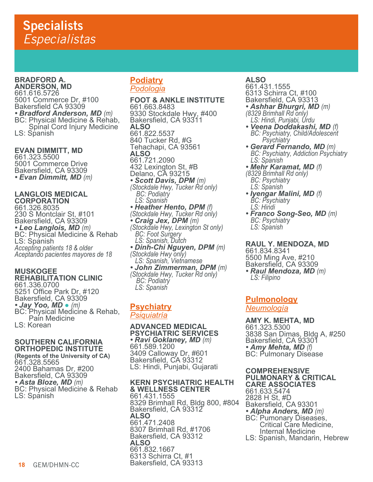#### **BRADFORD A. ANDERSON, MD**

661.616.5726 5001 Commerce Dr, #100 Bakersfield CA 93309<br>• Bradford Anderson, MD (m) **BC: Physical Medicine & Rehab,**  Spinal Cord Injury Medicine LS: Spanish

**EVAN DIMMITT, MD** 661.323.5500 5001 Commerce Drive Bakersfield, CA 93309 *• Evan Dimmitt, MD (m)*

## **LANGLOIS MEDICAL CORPORATION**

661.326.8035 230 S Montclair St, #101 Bakersfield, CA 93309<br>• Leo Langlois, MD (m) **BC: Physical Medicine & Rehab** LS: Spanish *Accepting patients 18 & older Aceptando pacientes mayores de 18*

### **MUSKOGEE REHABILITATION CLINIC** 661.336.0700 5251 Office Park Dr, #120 Bakersfield, CA 93309 **• Jay Yoo, MD •** (*m*)<br>BC: Physical Medicine & Rehab, Pain Medicine

LS: Korean

#### **SOUTHERN CALIFORNIA ORTHOPEDIC INSTITUTE**

**(Regents of the University of CA)** 661.328.5565 2400 Bahamas Dr, #200 Bakersfield, CA 93309 *• Asta Bloze, MD (m)* BC: Physical Medicine & Rehab LS: Spánish

## **Podiatry** *Podologia*

**FOOT & ANKLE INSTITUTE** 661.663.8483 9330 Stockdale Hwy, #400 Bakersfield, CA 93311 **ALSO** 661.822.5537 840 Tucker Rd, #G Tehachapi, CA 93561 **ALSO** 661.721.2090 432 Lexington St, #B Delano, CA 93215 *• Scott Davis, DPM (m) (Stockdale Hwy, Tucker Rd only)* *BC: Podiatry LS: Spanish (Stockdale Hwy, Tucker Rd only)*<br>• *Craig Jex, DPM (m) • Craig Jex, DPM (m) (Stockdale Hwy, Lexington St only) BC: Foot Surgery LS: Spanish, Dutch • Dinh-Chi Nguyen, DPM (m) (Stockdale Hwy only) LS: Spanish, Vietnamese • John Zimmerman, DPM (m) (Stockdale Hwy, Tucker Rd only)* *BC: Podiatry LS: Spanish*

## **Psychiatry** *Psiquiatría*

**ADVANCED MEDICAL PSYCHIATRIC SERVICES** *• Ravi Goklaney, MD (m)* 661.589.1200 3409 Calloway Dr, #601 Bakersfield, CA 93312 LS: Hindi, Punjabi, Gujarati

#### **KERN PSYCHIATRIC HEALTH & WELLNESS CENTER** 661.431.1555 8329 Brimhall Rd, Bldg 800, #804 Bakersfield, CA 93312 **ALSO** 661.471.2408 8307 Brimhall Rd, #1706 Bakersfield, CA 93312 **ALSO** 661.832.1667 6313 Schirra Ct, #1 Bakersfield, CA 93313

## **ALSO**

661.431.1555 6313 Schirra Ct, #100 Bakersfield, CA 93313

*• Ashhar Bhurgri, MD (m) (8329 Brimhall Rd only)*

- *LS: Hindi, Punjabi, Urdu • Veena Doddakashi, MD (f) BC: Psychiatry, Child/Adolescent Psychiatry*
- *Gerard Fernando, MD (m) BC: Psychiatry, Addiction Psychiatry LS: Spanish*
- *Mehr Karamat, MD (f) (8329 Brimhall Rd only) BC: Psychiatry LS: Spanish*
- *Iyengar Malini, MD (f) BC: Psychiatry LS: Hindi*
- *Franco Song-Seo, MD (m) BC: Psychiatry LS: Spanish*

## **RAUL Y. MENDOZA, MD**

661.834.8341 5500 Ming Ave, #210 Bakersfield, CA 93309 *• Raul Mendoza, MD (m) LS: Filipino*

## **Pulmonology** *Neumología*

**AMY K. MEHTA, MD** 661.323.5300 3838 San Dimas, Bldg A, #250 Bakersfield, CA 93301<br>• Amy Mehta, MD (f) *• Amy Mehta, MD (f)* BC: Pulmonary Disease

#### **COMPREHENSIVE PULMONARY & CRITICAL CARE ASSOCIATES**

661.633.5474 2828 H St, #D Bakersfield, CA 93301<br>• Alpha Anders, MD (m) *• Alpha Anders, MD (m)* BC: Pumonary Diseases, Critical Care Medicine, Internal Medicine LS: Spanish, Mandarin, Hebrew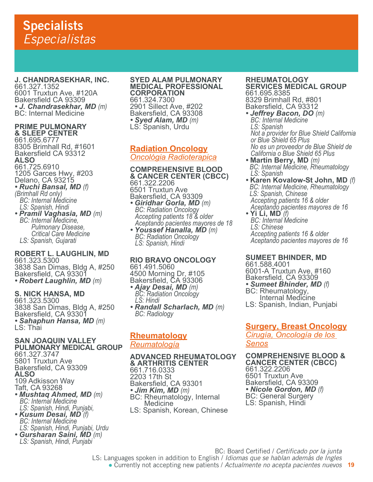## **Specialists** *Especialistas*

#### **J. CHANDRASEKHAR, INC.** 661.327.1352 6001 Truxtun Ave, #120A Bakersfield CA 93309 *• J. Chandrasekhar, MD (m)* BC: Internal Medicine

### **PRIME PULMONARY & SLEEP CENTER**

661.695.6777 8305 Brimhall Rd, #1601 Bakersfield CA 93312 **ALSO** 661.725.6910 1205 Garces Hwy, #203 Delano, CA 93215

- *Ruchi Bansal, MD (f) (Brimhall Rd only) BC: Internal Medicine LS: Spanish, Hindi*
- *Pramil Vaghasia, MD (m) BC: Internal Medicine, Pulmonary Disease, Critical Care Medicine LS: Spanish, Gujarati*

#### **ROBERT L. LAUGHLIN, MD** 661.323.5300

3838 San Dimas, Bldg A, #250 Bakersfield, CA 93301 *• Robert Laughlin, MD (m)*

## **S. NICK HANSA, MD**

661.323.5300 3838 San Dimas, Bldg A, #250 Bakersfield, CA 93301 *• Sahaphun Hansa, MD (m)* LS: Thai

#### **SAN JOAQUIN VALLEY PULMONARY MEDICAL GROUP** 661.327.3747 5801 Truxtun Ave Bakersfield, CA 93309 **ALSO** 109 Adkisson Way Taft, CA 93268

- *Mushtaq Ahmed, MD (m) BC: Internal Medicine LS: Spanish, Hindi, Punjabi,*
- *Kusum Desai, MD (f) BC: Internal Medicine LS: Spanish, Hindi, Punjabi, Urdu*
- *Gursharan Saini, MD (m) LS: Spanish, Hindi, Punjabi*

### **SYED ALAM PULMONARY MEDICAL PROFESSIONAL CORPORATION** 661.324.7300 2901 Sillect Ave, #202 Bakersfield, CA 93308 *• Syed Alam, MD (m)* LS: Spanish, Urdu

#### **Radiation Oncology** *Oncológia Radioterapica*

**COMPREHENSIVE BLOOD & CANCER CENTER (CBCC)** 661.322.2206 6501 Truxtun Ave Bakersfield, CA 93309

*• Giridhar Gorla, MD (m) BC: Radiation Oncology Accepting patients 18 & older Aceptando pacientes mayores de 18 • Youssef Hanalla, MD (m) BC: Radiation Oncology LS: Spanish, Hindi*

## **RIO BRAVO ONCOLOGY** 661.491.5060

4500 Morning Dr, #105 Bakersfield, CA 93306

- *Ajay Desai, MD (m) BC: Radiation Oncology LS: Hindi*
- *Randall Scharlach, MD (m) BC: Radiology*

## **Rheumatology** *Reumatología*

#### **ADVANCED RHEUMATOLOGY & ARTHRITIS CENTER**

661.716.0333 2203 17th St Bakersfield, CA 93301<br>• Jim Kim, MD (m) *• Jim Kim, MD (m)* BC: Rheumatology, Internal **Medicine** LS: Spanish, Korean, Chinese

#### **RHEUMATOLOGY SERVICES MEDICAL GROUP** 661.695.8385 8329 Brimhall Rd, #801 Bakersfield, CA 93312

- *Jeffrey Bacon, DO (m) BC: Internal Medicine LS: Spanish Not a provider for Blue Shield California or Blue Shield 65 Plus No es un proveedor de Blue Shield de California o Blue Shield 65 Plus*
- **Martin Berry, MD** *(m)**BC: Internal Medicine, Rheumatology LS: Spanish*
- **Karen Kovalow-St John, MD** *(f)**BC: Internal Medicine, Rheumatology* *LS: Spanish, Chinese Accepting patients 16 & older Aceptando pacientes mayores de 16*
- **Yi Li, MD** *(f) BC: Internal Medicine LS: Chinese Accepting patients 16 & older Aceptando pacientes mayores de 16*

## **SUMEET BHINDER, MD**

661.588.4001 6001-A Truxtun Ave, #160 Bakersfield, CA 93309 *• Sumeet Bhinder, MD (f)* BC: Rheumatology, Internal Medicine LS: Spanish, Indian, Punjabi

## **Surgery, Breast Oncology**

*Cirugía, Oncología de los Senos*

**COMPREHENSIVE BLOOD & CANCER CENTER (CBCC)** 661.322.2206 6501 Truxtun Ave Bakersfield, CA 93309 *• Nicole Gordon, MD (f)* BC: General Surgery LS: Spanish, Hindi

BC: Board Certified / *Certificado por la junta* LS: Languages spoken in addition to English / *Idiomas que se hablan además de Ingles*

**19** ● Currently not accepting new patients / *Actualmente no acepta pacientes nuevos*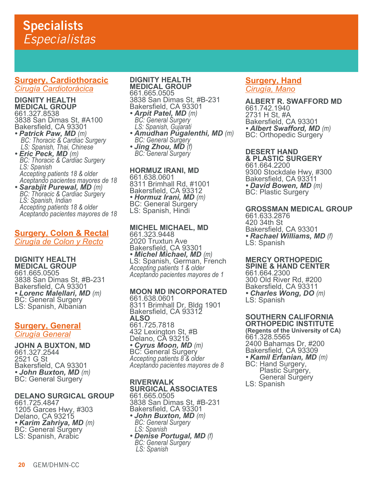### **Surgery, Cardiothoracic** *Cirugía Cardiotorácica*

**DIGNITY HEALTH MEDICAL GROUP** 661.327.8538 3838 San Dimas St, #A100

- Bakersfield, CA 93301<br>• Patrick Paw, MD (m) *• Patrick Paw, MD (m)**BC: Thoracic & Cardiac Surgery* *LS: Spanish, Thai, Chinese*
- *Eric Peck, MD (m) BC: Thoracic & Cardiac Surgery LS: Spanish Accepting patients 18 & older*
- *Aceptando pacientes mayores de 18 • Sarabjit Purewal, MD (m) BC: Thoracic & Cardiac Surgery LS: Spanish, Indian Accepting patients 18 & older Aceptando pacientes mayores de 18*

## **Surgery, Colon & Rectal**

*Cirugía de Colon y Recto*

**DIGNITY HEALTH MEDICAL GROUP** 661.665.0505 3838 San Dimas St, #B-231 Bakersfield, CA 93301 *• Lorenc Malellari, MD (m)* BC: General Surgery LS: Spanish, Albanian

## **Surgery, General** *Cirugía General*

**JOHN A BUXTON, MD** 661.327.2544 2521 G St Bakersfield, CA 93301 *• John Buxton, MD (m)* BC: General Surgery

## **DELANO SURGICAL GROUP**

661.725.4847 1205 Garces Hwy, #303 Delano, CA 93215<br>• *Karim Zahriya, MD (m) • Karim Zahriya, MD (m)* BC: General Surgery LS: Spanish, Arabic

#### **DIGNITY HEALTH MEDICAL GROUP**

661.665.0505 3838 San Dimas St, #B-231 Bakersfield, CA 93301 *• Arpit Patel, MD (m) BC: General Surgery*

 *LS: Spanish, Gujarati • Amudhan Pugalenthi, MD (m) BC: General Surgery • Jing Zhou, MD (f) BC: General Surgery*

**HORMUZ IRANI, MD** 661.638.0601 8311 Brimhall Rd, #1001 Bakersfield, CA 93312 *• Hormuz Irani, MD (m)* BC: General Surgery LS: Spanish, Hindi

## **MICHEL MICHAEL, MD**

661.323.9448 2020 Truxtun Ave Bakersfield, CA 93301<br>• *Michel Michael, MD (m*) *• Michel Michael, MD (m)* LS: Spanish, German, French *Accepting patients 1 & older Aceptando pacientes mayores de 1*

## **MOON MD INCORPORATED**

661.638.0601 8311 Brimhall Dr, Bldg 1901 Bakersfield, CA 93312 **ALSO** 661.725.7818 432 Lexington St, #B Delano, CA 93215 *• Cyrus Moon, MD (m)* BC: General Surgery *Accepting patients 8 & older Aceptando pacientes mayores de 8*

#### **RIVERWALK SURGICAL ASSOCIATES** 661.665.0505

3838 San Dimas St, #B-231 Bakersfield, CA 93301

- *John Buxton, MD (m) BC: General Surgery LS: Spanish*
- *Denise Portugal, MD (f) BC: General Surgery* *LS: Spanish*

## **Surgery, Hand** *Cirugía, Mano*

**ALBERT R. SWAFFORD MD** 661.742.1940 2731 H St, #A Bakersfield, CA 93301 *• Albert Swafford, MD (m)* BC: Orthopedic Surgery

## **DESERT HAND**

**& PLASTIC SURGERY** 661.664.2200 9300 Stockdale Hwy, #300 Bakersfield, CA 93311 *• David Bowen, MD (m)* BC: Plastic Surgery

## **GROSSMAN MEDICAL GROUP**

661.633.2876 420 34th St Bakersfield, CA 93301 *• Rachael Williams, MD (f)* LS: Spanish

#### **MERCY ORTHOPEDIC SPINE & HAND CENTER**

661.664.2300 300 Old River Rd, #200 Bakersfield, CA 93311 *• Charles Wong, DO (m)* LS: Spanish

## **SOUTHERN CALIFORNIA ORTHOPEDIC INSTITUTE**

**(Regents of the University of CA)** 661.328.5565 2400 Bahamas Dr, #200 Bakersfield, CA 93309 *• Kamil Erfanian, MD (m)* BC: Hand Surgery, Plastic Surgery, General Surgery

LS: Spanish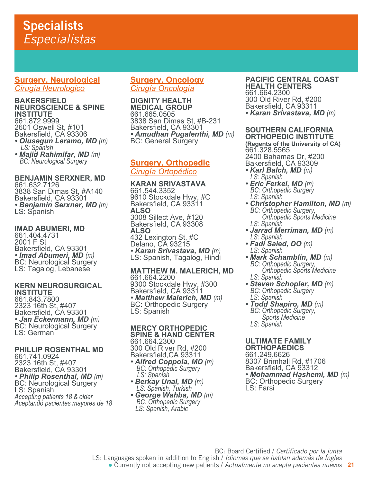## **Specialists** *Especialistas*

### **Surgery, Neurological** *Cirugía Neurologico*

#### **BAKERSFIELD NEUROSCIENCE & SPINE INSTITUTE**

661.872.9999 2601 Oswell St, #101 Bakersfield, CA 93306 *• Olusegun Leramo, MD (m)**LS: Spanish*

*• Majid Rahimifar, MD (m) BC: Neurological Surgery*

## **BENJAMIN SERXNER, MD**

661.632.7126 3838 San Dimas St, #A140 Bakersfield, CA 93301 *• Benjamin Serxner, MD (m)* LS: Spanish

### **IMAD ABUMERI, MD**

661.404.4731 2001 F St Bakersfield, CA 93301<br>• Imad Abumeri, MD (m) *• Imad Abumeri, MD (m)* BC: Neurological Surgery LS: Tagalog, Lebanese

#### **KERN NEUROSURGICAL INSTITUTE**

661.843.7800 2323 16th St, #407 Bakersfield, CA 93301 *• Jan Eckermann, MD (m)* BC: Neurological Surgery LS: German

**PHILLIP ROSENTHAL MD** 661.741.0924 2323 16th St, #407 Bakersfield, CA 93301 *• Philip Rosenthal, MD (m)* BC: Neurological Surgery LS: Spanish *Accepting patients 18 & older Aceptando pacientes mayores de 18*

## **Surgery, Oncology**

*Cirugía Oncología*

### **DIGNITY HEALTH MEDICAL GROUP** 661.665.0505 3838 San Dimas St, #B-231 Bakersfield, CA 93301 **• Amudhan Pugalenthi, MD** (m)<br>BC: General Surgery

## **Surgery, Orthopedic** *Cirugía Ortopédico*

**KARAN SRIVASTAVA** 661.544.3352 9610 Stockdale Hwy, #C Bakersfield, CA 93311 **ALSO** 3008 Sillect Ave, #120 Bakersfield, CA 93308 **ALSO** 432 Lexington St, #C Delano, CA 93215 *• Karan Srivastava, MD (m)* LS: Spanish, Tagalog, Hindi

### **MATTHEW M. MALERICH, MD** 661.664.2200 9300 Stockdale Hwy, #300 Bakersfield, CA 93311 • *Matthew Malerich, MD (m)*<br>BC: Orthopedic Surgery LS: Spanish

#### **MERCY ORTHOPEDIC SPINE & HAND CENTER** 661.664.2300

300 Old River Rd, #200 Bakersfield,CA 93311 *• Alfred Coppola, MD (m)**BC: Orthopedic Surgery LS: Spanish*

- 
- *Berkay Unal, MD (m)**LS: Spanish, Turkish George Wahba, MD (m)**BC: Orthopedic Surgery LS: Spanish, Arabic*

#### **PACIFIC CENTRAL COAST HEALTH CENTERS** 661.664.2300 300 Old River Rd, #200 Bakersfield, CA 93311 *• Karan Srivastava, MD (m)*

## **SOUTHERN CALIFORNIA ORTHOPEDIC INSTITUTE**

**(Regents of the University of CA)** 661.328.5565 2400 Bahamas Dr, #200 Bakersfield, CA 93309

- *Karl Balch, MD (m) LS: Spanish*
- *Eric Ferkel, MD (m) BC: Orthopedic Surgery LS: Spanish*
- *Christopher Hamilton, MD (m) BC: Orthopedic Surgery, Orthopedic Sports Medicine LS: Spanish*
- *Jarrad Merriman, MD (m) LS: Spanish*
- *Fadi Saied, DO (m) LS: Spanish*
- *Mark Schamblin, MD (m) BC: Orthopedic Surgery, Orthopedic Sports Medicine LS: Spanish*
- *Steven Schopler, MD (m) BC: Orthopedic Surgery LS: Spanish*
- *Todd Shapiro, MD (m) BC: Orthopedic Surgery, Sports Medicine LS: Spanish*

#### **ULTIMATE FAMILY ORTHOPAEDICS**

661.249.6626 8307 Brimhall Rd, #1706 Bakersfield, CA 93312<br>• Mohammad Hashemi, MD (m) *• Mohammad Hashemi, MD (m)* BC: Orthopedic Surgery LS: Farsi

BC: Board Certified / *Certificado por la junta* LS: Languages spoken in addition to English / *Idiomas que se hablan además de Ingles*

**21** ● Currently not accepting new patients / *Actualmente no acepta pacientes nuevos*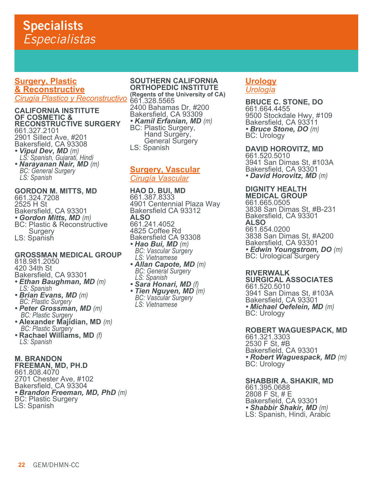## **Surgery, Plastic & Reconstructive** *Cirugía Plastico y Reconstructivo* **(Regents of the University of CA)**

### **CALIFORNIA INSTITUTE OF COSMETIC & RECONSTRUCTIVE SURGERY** 661.327.2101 2901 Sillect Ave, #201 Bakersfield, CA 93308 *• Vipul Dev, MD (m) LS: Spanish, Gujarati, Hindi*

*• Narayanan Nair, MD (m) BC: General Surgery LS: Spanish*

## **GORDON M. MITTS, MD** 661.324.7208 2525 H St Bakersfield, CA 93301<br>• Gordon Mitts, MD (m) **BC: Plastic & Reconstructive** Surgery

LS: Spanish

## **GROSSMAN MEDICAL GROUP**

818.981.2050 420 34th St Bakersfield, CA 93301

- *Ethan Baughman, MD (m) LS: Spanish*
- *Brian Evans, MD (m) BC: Plastic Surgery*
- *Peter Grossman, MD (m)**BC: Plastic Surgery*
- **Alexander Majidian, MD** *(m)**BC: Plastic Surgery*
- **Rachael Williams, MD** *(f) LS: Spanish*

### **M. BRANDON FREEMAN, MD, PH.D**

661.808.4070 2701 Chester Ave, #102 Bakersfield, CA 93304 **• Brandon Freeman, MD, PhD** (m)<br>BC: Plastic Surgery LS: Spanish

#### **SOUTHERN CALIFORNIA ORTHOPEDIC INSTITUTE**

661.328.5565 2400 Bahamas Dr, #200 Bakersfield, CA 93309<br>• *Kamil Erfanian, MD (m) • Kamil Erfanian, MD (m)* BC: Plastic Surgery, Hand Surgery, General Surgery LS: Spanish

## **Surgery, Vascular** *Cirugía Vascular*

**HAO D. BUI, MD** 661.387.8333 4901 Centennial Plaza Way Bakersfield CA 93312 **ALSO** 661.241.4052 4825 Coffee Rd Bakersfield CA 93308

- *Hao Bui, MD (m) BC: Vascular Surgery LS: Vietnamese*
- *Allan Capote, MD (m) BC: General Surgery LS: Spanish*
- 
- *Sara Honari, MD (f) Tien Nguyen, MD (m) BC: Vascular Surgery LS: Vietnamese*

## **Urology** *Urología*

**BRUCE C. STONE, DO** 661.664.4455 9500 Stockdale Hwy, #109 Bakersfield, CA 93311 *• Bruce Stone, DO (m)* BC: Urology

**DAVID HOROVITZ, MD** 661.520.5010 3941 San Dimas St, #103A Bakersfield, CA 93301 *• David Horovitz, MD (m)*

## **DIGNITY HEALTH**

**MEDICAL GROUP** 661.665.0505 3838 San Dimas St, #B-231 Bakersfield, CA 93301 **ALSO** 661.654.0200 3838 San Dimas St, #A200 Bakersfield, CA 93301 • *Edwin Youngstrom, DO (m)*<br>BC: Urological Surgery

## **RIVERWALK**

**SURGICAL ASSOCIATES** 661.520.5010 3941 San Dimas St, #103A Bakersfield, CA 93301 *• Michael Oefelein, MD (m)* BC: Urology

## **ROBERT WAGUESPACK, MD**

661.321.3303 2530 F St, #B Bakersfield, CA 93301 *• Robert Waguespack, MD (m)*<br>BC: Urology

## **SHABBIR A. SHAKIR, MD**

661.395.0688 2808 F St, # E Bakersfield, CA 93301<br>• Shabbir Shakir, MD (m) *• Shabbir Shakir, MD (m)* LS: Spanish, Hindi, Arabic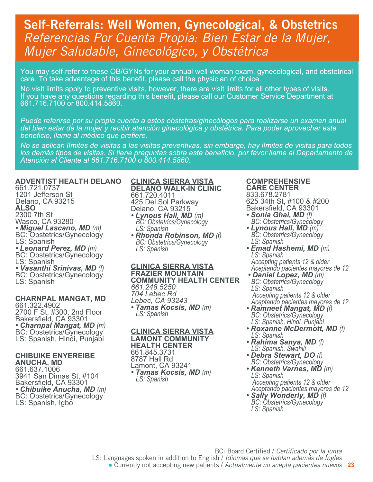## Self-Referrals: Well Women, Gynecological, & Obstetrics *Referencias Por Cuenta Propia: Bien Estar de la Mujer, Mujer Saludable, Ginecológico, y Obstétrica*

You may self-refer to these OB/GYNs for your annual well woman exam, gynecological, and obstetrical care. To take advantage of this benefit, please call the physician of choice.

No visit limits apply to preventive visits, however, there are visit limits for all other types of visits. If you have any questions regarding this benefit, please call our Customer Service Department at 661.716.7100 or 800.414.5860.

*Puede referirse por su propia cuenta a estos obstetras/ginecólogos para realizarse un examen anual del bien estar de la mujer y recibir atención ginecológica y obstétrica. Para poder aprovechar este beneficio, llame al médico que prefiere.*

*No se aplican límites de visitas a las visitas preventivas, sin embargo, hay límites de visitas para todos los demás tipos de visitas. Si tiene preguntas sobre este beneficio, por favor llame al Departamento de Atención al Cliente al 661.716.7100 o 800.414.5860.*

### **ADVENTIST HEALTH DELANO**

661.721.0737 1201 Jefferson St Delano, CA 93215 **ALSO** 2300 7th St Wasco, CA 93280 *• Miguel Lascano, MD (m)* BC: Obstetrics/Gynecology LS: Spanish<br>• Leonard Perez, MD (m) **BC: Obstetrics/Gynecology** LS: Spanish<br>• Vasanthi Srinivas, MD (f) **BC: Obstetrics/Gynecology** LS: Spanish

#### **CHARNPAL MANGAT, MD**

661.322.4902 2700 F St, #300, 2nd Floor Bakersfield, CA 93301<br>• Charnpal Mangat, MD (m) **BC: Obstetrics/Gynecology** LS: Spanish, Hindi, Punjabi

#### **CHIBUIKE ENYEREIBE ANUCHA, MD**

661.637.1006 3941 San Dimas St, #104 Bakersfield, CA 93301<br>• Chibuike Anucha, MD (m) **BC: Obstetrics/Gynecology** LS: Spanish, Igbo

#### **CLINICA SIERRA VISTA DELANO WALK-IN CLINIC**

661.720.4011 425 Del Sol Parkway Delano, CA 93215

- *Lynous Hall, MD (m) BC: Obstetrics/Gynecology BC: Obstetrics/Gynecology*<br>LS: Spanish
- *Rhonda Robinson, MD (f) BC: Obstetrics/Gynecology LS: Spanish*

**CLINICA SIERRA VISTA FRAZIER MOUNTAIN COMMUNITY HEALTH CENTER** *661.248.5250 704 Lebec Rd Lebec, CA 93243 • Tamas Kocsis, MD (m) LS: Spanish*

#### **CLINICA SIERRA VISTA LAMONT COMMUNITY HEALTH CENTER** 661.845.3731 8787 Hall Rd

Lamont, CA 93241 *• Tamas Kocsis, MD (m) LS: Spanish*

#### **COMPREHENSIVE CARE CENTER** 833.678.2781 625 34th St, #100 & #200

Bakersfield, CA 93301

- *Sonia Ghai, MD (f) BC: Obstetrics/Gynecology*
- *Lynous Hall, MD (m) BC: Obstetrics/Gynecology LS: Spanish*
- *Emad Hashemi, MD (m) LS: Spanish Accepting patients 12 & older*
- *Aceptando pacientes mayores de 12 • Daniel Lopez, MD (m) BC: Obstetrics/Gynecology LS: Spanish*
- *Accepting patients 12 & older Aceptando pacientes mayores de 12*
- *Ramneet Mangat, MD (f) BC: Obstetrics/Gynecology LS: Spanish, Hindi, Punjabi*
- *Roxanne McDermott, MD (f) LS: Spanish*
- *Rahima Sanya, MD (f) LS: Spanish, Swahili*
- *Debra Stewart, DO (f) BC: Obstetrics/Gynecology*
- *Kenneth Varnes, MD (m) LS: Spanish* *Accepting patients 12 & older*
- *Aceptando pacientes mayores de 12 • Sally Wonderly, MD (f) BC: Obstetrics/Gynecology LS: Spanish*

BC: Board Certified / *Certificado por la junta* LS: Languages spoken in addition to English / *Idiomas que se hablan además de Ingles*

**23** ● Currently not accepting new patients / *Actualmente no acepta pacientes nuevos*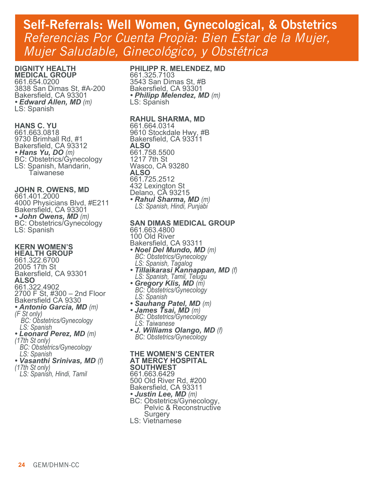## Self-Referrals: Well Women, Gynecological, & Obstetrics *Referencias Por Cuenta Propia: Bien Estar de la Mujer, Mujer Saludable, Ginecológico, y Obstétrica*

#### **DIGNITY HEALTH MEDICAL GROUP**

661.654.0200 3838 San Dimas St, #A-200 Bakersfield, CA 93301 *• Edward Allen, MD (m)* LS: Spanish

#### **HANS C. YU**

661.663.0818 9730 Brimhall Rd, #1 Bakersfield, CA 93312<br>• Hans Yu, DO (m) **BC: Obstetrics/Gynecology** LS: Spanish, Mandarin, Taiwanese

### **JOHN R. OWENS, MD**

661.401.2000 4000 Physicians Blvd, #E211 Bakersfield, CA 93301 *• John Owens, MD (m)* BC: Obstetrics/Gynecology LS: Spanish

#### **KERN WOMEN'S HEALTH GROUP**

661.322.6700 2005 17th St Bakersfield, CA 93301 **ALSO** 661.322.4902 2700 F St, #300 – 2nd Floor Bakersfield CA 9330 *• Antonio Garcia, MD (m) (F St only)* *BC: Obstetrics/Gynecology LS: Spanish • Leonard Perez, MD (m) (17th St only) BC: Obstetrics/Gynecology LS: Spanish*

## *• Vasanthi Srinivas, MD (f) (17th St only)*

- 
- *LS: Spanish, Hindi, Tamil*

## **PHILIPP R. MELENDEZ, MD**

661.325.7103 3543 San Dimas St, #B Bakersfield, CA 93301 *• Philipp Melendez, MD (m)* LS: Spanish

### **RAHUL SHARMA, MD**

661.664.0314 9610 Stockdale Hwy, #B Bakersfield, CA 93311 **ALSO** 661.758.5500 1217 7th St Wasco, CA 93280 **ALSO** 661.725.2512 432 Lexington St Delano, CA 93215 *• Rahul Sharma, MD (m) LS: Spanish, Hindi, Punjabi*

## **SAN DIMAS MEDICAL GROUP**

- 661.663.4800 100 Old River Bakersfield, CA 93311<br>• Noel Del Mundo, MD (m) *• Noel Del Mundo, MD (m) BC: Obstetrics/Gynecology LS: Spanish, Tagalog*
- *Tillaikarasi Kannappan, MD (f) LS: Spanish, Tamil, Telugu*
- *Gregory Klis, MD (m) BC: Obstetrics/Gynecology*
- *LS: Spanish*
- *Sauhang Patel, MD (m) James Tsai, MD (m) BC: Obstetrics/Gynecology LS: Taiwanese*
- *J. Williams Olango, MD (f) BC: Obstetrics/Gynecology*

#### **THE WOMEN'S CENTER AT MERCY HOSPITAL**

**SOUTHWEST** 661.663.6429 500 Old River Rd, #200 Bakersfield, CA 93311<br>*• Justin Lee, MD (m)* **BC: Obstetrics/Gynecology,**  Pelvic & Reconstructive Surgery

LS: Vietnamese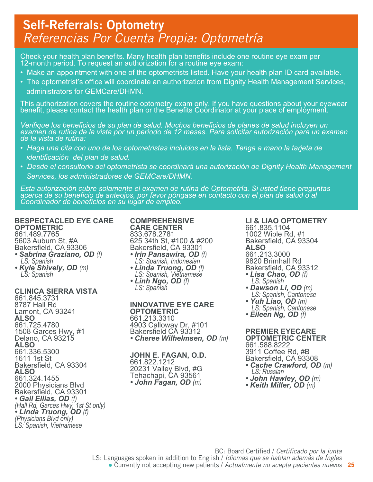## Self-Referrals: Optometry *Referencias Por Cuenta Propia: Optometría*

Check your health plan benefits. Many health plan benefits include one routine eye exam per 12-month period. To request an authorization for a routine eye exam:

- Make an appointment with one of the optometrists listed. Have your health plan ID card available.
- The optometrist's office will coordinate an authorization from Dignity Health Management Services, administrators for GEMCare/DHMN.

This authorization covers the routine optometry exam only. If you have questions about your eyewear benefit, please contact the health plan or the Benefits Coordinator at your place of employment.

*Verifique los beneficios de su plan de salud. Muchos beneficios de planes de salud incluyen un examen de rutina de la vista por un período de 12 meses. Para solicitar autorización para un examen de la vista de rutina:*

- *Haga una cita con uno de los optometristas incluidos en la lista. Tenga a mano la tarjeta de identificación del plan de salud.*
- *Desde el consultorio del optometrista se coordinará una autorización de Dignity Health Management Services, los administradores de GEMCare/DHMN.*

*Esta autorización cubre solamente el examen de rutina de Optometría. Si usted tiene preguntas acerca de su beneficio de anteojos, por favor póngase en contacto con el plan de salud o al Coordinador de beneficios en su lugar de empleo.*

#### **BESPECTACLED EYE CARE OPTOMETRIC** 661.489.7765

5603 Auburn St, #A Bakersfield, CA 93306

- *Sabrina Graziano, OD (f) LS: Spanish*
- *Kyle Shively, OD (m) LS: Spanish*

## **CLINICA SIERRA VISTA**

661.845.3731 8787 Hall Rd Lamont, CA 93241 **ALSO** 661.725.4780 1508 Garces Hwy, #1 Delano, CA 93215 **ALSO** 661.336.5300 1611 1st St Bakersfield, CA 93304 **ALSO** 661.324.1455 2000 Physicians Blvd Bakersfield, CA 93301 *• Gail Ellias, OD (f) (Hall Rd, Garces Hwy, 1st St only) • Linda Truong, OD (f) (Physicians Blvd only) LS: Spanish, Vietnamese*

#### **COMPREHENSIVE CARE CENTER** 833.678.2781

625 34th St, #100 & #200 Bakersfield, CA 93301<br>• Irin Pansawira, OD (f)

- *<i>• LS: Spanish, Indonesian Linda Truong, OD (f) <i>LS: Spanish, Vietnamese • Linh Ngo, OD (f) LS: Spanish*
- 

#### **INNOVATIVE EYE CARE OPTOMETRIC** 661.213.3310

4903 Calloway Dr, #101 Bakersfield CA 93312 *• Cheree Wilhelmsen, OD (m)*

## **JOHN E. FAGAN, O.D.**

661.822.1212 20231 Valley Blvd, #G Tehachapi, CA 93561 *• John Fagan, OD (m)* **LI & LIAO OPTOMETRY** 661.835.1104 1002 Wible Rd, #1 Bakersfield, CA 93304 **ALSO** 661.213.3000 9820 Brimhall Rd Bakersfield, CA 93312

- *Lisa Chao, OD (f)**LS: Spanish*
- *Dawson Li, OD (m)**LS: Spanish, Cantonese*
- *Yuh Liao, OD (m)**LS: Spanish, Cantonese*
- *Eileen Ng, OD (f)*

**PREMIER EYECARE OPTOMETRIC CENTER** 661.588.8222 3911 Coffee Rd, #B Bakersfield, CA 93308 *• Cache Crawford, OD (m)**LS: Russian*

- 
- *John Hawley, OD (m) Keith Miller, OD (m)*

**25** ● Currently not accepting new patients / *Actualmente no acepta pacientes nuevos* BC: Board Certified / *Certificado por la junta* LS: Languages spoken in addition to English / *Idiomas que se hablan además de Ingles*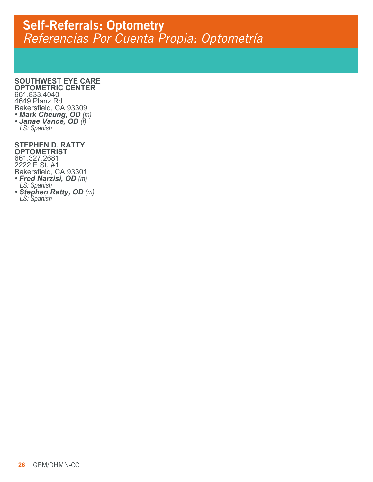## Self-Referrals: Optometry *Referencias Por Cuenta Propia: Optometría*

#### **SOUTHWEST EYE CARE OPTOMETRIC CENTER**

661.833.4040 4649 Planz Rd Bakersfield, CA 93309 *• Mark Cheung, OD (m) • Janae Vance, OD (f) LS: Spanish*

#### **STEPHEN D. RATTY OPTOMETRIST**

661.327.2681 2222 E St, #1 Bakersfield, CA 93301 *• Fred Narzisi, OD (m) LS: Spanish • Stephen Ratty, OD (m) LS: Spanish*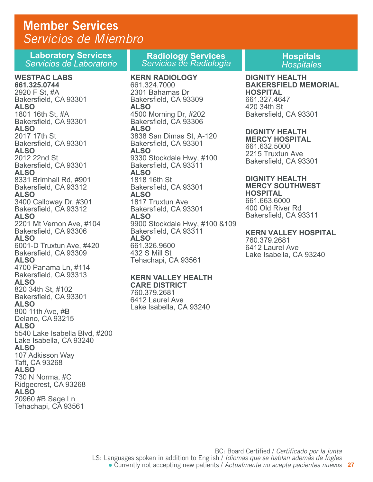## Member Services *Servicios de Miembro*

**Laboratory Services**  *Servicios de Laboratorio*

#### **WESTPAC LABS 661.325.0744**  2920 F St, #A Bakersfield, CA 93301 **ALSO**  1801 16th St, #A Bakersfield, CA 93301 **ALSO**  2017 17th St Bakersfield, CA 93301 **ALSO**  2012 22nd St Bakersfield, CA 93301 **ALSO**  8331 Brimhall Rd, #901 Bakersfield, CA 93312 **ALSO**  3400 Calloway Dr, #301 Bakersfield, CA 93312 **ALSO**  2201 Mt Vernon Ave, #104 Bakersfield, CA 93306 **ALSO**  6001-D Truxtun Ave, #420 Bakersfield, CA 93309 **ALSO**  4700 Panama Ln, #114 Bakersfield, CA 93313 **ALSO**  820 34th St, #102 Bakersfield, CA 93301 **ALSO**  800 11th Ave, #B Delano, CA 93215 **ALSO**  5540 Lake Isabella Blvd, #200 Lake Isabella, CA 93240 **ALSO**  107 Adkisson Way Taft, CA 93268 **ALSO** 730 N Norma, #C Ridgecrest, CA 93268 **ALSO** 20960 #B Sage Ln Tehachapi, CA 93561

**Radiology Services** *Servicios de Radiología*

**KERN RADIOLOGY**  661.324.7000 2301 Bahamas Dr Bakersfield, CA 93309 **ALSO** 4500 Morning Dr, #202 Bakersfield, CA 93306 **ALSO** 3838 San Dimas St, A-120 Bakersfield, CA 93301 **ALSO** 9330 Stockdale Hwy, #100 Bakersfield, CA 93311 **ALSO** 1818 16th St Bakersfield, CA 93301 **ALSO** 1817 Truxtun Ave Bakersfield, CA 93301 **ALSO** 9900 Stockdale Hwy, #100 &109 Bakersfield, CA 93311 **ALSO** 661.326.9600 432 S Mill St Tehachapi, CA 93561

#### **KERN VALLEY HEALTH**

**CARE DISTRICT** 760.379.2681 6412 Laurel Ave Lake Isabella, CA 93240 **Hospitals**  *Hospitales*

#### **DIGNITY HEALTH BAKERSFIELD MEMORIAL HOSPITAL** 661.327.4647 420 34th St Bakersfield, CA 93301

## **DIGNITY HEALTH**

**MERCY HOSPITAL** 661.632.5000 2215 Truxtun Ave Bakersfield, CA 93301

#### **DIGNITY HEALTH MERCY SOUTHWEST HOSPITAL**

661.663.6000 400 Old River Rd Bakersfield, CA 93311

### **KERN VALLEY HOSPITAL**

760.379.2681 6412 Laurel Ave Lake Isabella, CA 93240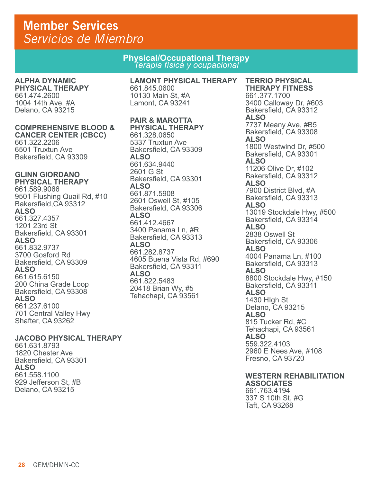## Member Services *Servicios de Miembro*

**Physical/Occupational Therapy** *Terapia física y ocupacional*

## **ALPHA DYNAMIC**

**PHYSICAL THERAPY** 661.474.2600 1004 14th Ave, #A Delano, CA 93215

#### **COMPREHENSIVE BLOOD & CANCER CENTER (CBCC)**

661.322.2206 6501 Truxtun Ave Bakersfield, CA 93309

#### **GLINN GIORDANO PHYSICAL THERAPY**

661.589.9066 9501 Flushing Quail Rd, #10 Bakersfield,CA 93312 **ALSO**  661.327.4357 1201 23rd St Bakersfield, CA 93301 **ALSO** 661.832.9737 3700 Gosford Rd Bakersfield, CA 93309 **ALSO** 661.615.6150 200 China Grade Loop Bakersfield, CA 93308 **ALSO** 661.237.6100 701 Central Valley Hwy Shafter, CA 93262

## **JACOBO PHYSICAL THERAPY**

661.631.8793 1820 Chester Ave Bakersfield, CA 93301 **ALSO** 661.558.1100 929 Jefferson St, #B Delano, CA 93215

#### **LAMONT PHYSICAL THERAPY** 661.845.0600 10130 Main St, #A Lamont, CA 93241

## **PAIR & MAROTTA**

**PHYSICAL THERAPY** 661.328.0650 5337 Truxtun Ave Bakersfield, CA 93309 **ALSO** 661.634.9440 2601 G St Bakersfield, CA 93301 **ALSO** 661.871.5908 2601 Oswell St, #105 Bakersfield, CA 93306 **ALSO** 661.412.4667 3400 Panama Ln, #R Bakersfield, CA 93313 **ALSO** 661.282.8737 4605 Buena Vista Rd, #690 Bakersfield, CA 93311 **ALSO** 661.822.5483 20418 Brian Wy, #5 Tehachapi, CA 93561

## **TERRIO PHYSICAL**

**THERAPY FITNESS** 661.377.1700 3400 Calloway Dr, #603 Bakersfield, CA 93312 **ALSO** 7737 Meany Ave, #B5 Bakersfield, CA 93308 **ALSO** 1800 Westwind Dr, #500 Bakersfield, CA 93301 **ALSO** 11206 Olive Dr, #102 Bakersfield, CA 93312 **ALSO** 7900 District Blvd, #A Bakersfield, CA 93313 **ALSO** 13019 Stockdale Hwy, #500 Bakersfield, CA 93314 **ALSO** 2838 Oswell St Bakersfield, CA 93306 **ALSO** 4004 Panama Ln, #100 Bakersfield, CA 93313 **ALSO** 8800 Stockdale Hwy, #150 Bakersfield, CA 93311 **ALSO** 1430 HIgh St Delano, CA 93215 **ALSO** 815 Tucker Rd, #C Tehachapi, CA 93561 **ALSO** 559.322.4103 2960 E Nees Ave, #108 Fresno, CA 93720

## **WESTERN REHABILITATION**

**ASSOCIATES** 661.763.4194 337 S 10th St, #G Taft, CA 93268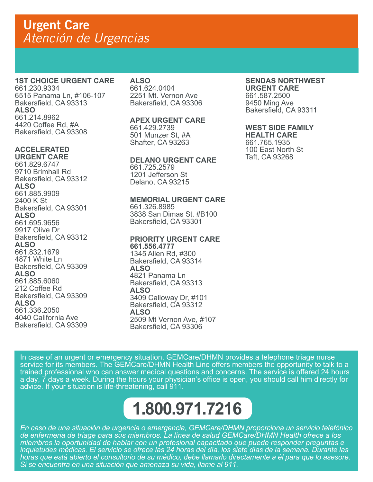## **1ST CHOICE URGENT CARE**

661.230.9334 6515 Panama Ln, #106-107 Bakersfield, CA 93313 **ALSO** 661.214.8962 4420 Coffee Rd, #A Bakersfield, CA 93308

## **ACCELERATED**

**URGENT CARE** 661.829.6747 9710 Brimhall Rd Bakersfield, CA 93312 **ALSO** 661.885.9909 2400 K St Bakersfield, CA 93301 **ALSO** 661.695.9656 9917 Olive Dr Bakersfield, CA 93312 **ALSO** 661.832.1679 4871 White Ln Bakersfield, CA 93309 **ALSO** 661.885.6060 212 Coffee Rd Bakersfield, CA 93309 **ALSO** 661.336.2050 4040 California Ave Bakersfield, CA 93309

## **ALSO**

661.624.0404 2251 Mt. Vernon Ave Bakersfield, CA 93306

## **APEX URGENT CARE**

661.429.2739 501 Munzer St, #A Shafter, CA 93263

## **DELANO URGENT CARE**

661.725.2579 1201 Jefferson St Delano, CA 93215

## **MEMORIAL URGENT CARE**

661.326.8985 3838 San Dimas St. #B100 Bakersfield, CA 93301

#### **PRIORITY URGENT CARE**

**661.556.4777** 1345 Allen Rd, #300 Bakersfield, CA 93314 **ALSO** 4821 Panama Ln Bakersfield, CA 93313 **ALSO** 3409 Calloway Dr, #101 Bakersfield, CA 93312 **ALSO** 2509 Mt Vernon Ave, #107 Bakersfield, CA 93306

## **SENDAS NORTHWEST**

**URGENT CARE** 661.587.2500 9450 Ming Ave Bakersfield, CA 93311

## **WEST SIDE FAMILY**

**HEALTH CARE** 661.765.1935 100 East North St Taft, CA 93268

In case of an urgent or emergency situation, GEMCare/DHMN provides a telephone triage nurse service for its members. The GEMCare/DHMN Health Line offers members the opportunity to talk to a trained professional who can answer medical questions and concerns. The service is offered 24 hours a day, 7 days a week. During the hours your physician's office is open, you should call him directly for advice. If your situation is life-threatening, call 911.

## **1.800.971.7216**

*En caso de una situación de urgencia o emergencia, GEMCare/DHMN proporciona un servicio telefónico de enfermeria de triage para sus miembros. La línea de salud GEMCare/DHMN Health ofrece a los miembros la oportunidad de hablar con un profesional capacitado que puede responder preguntas e inquietudes médicas. El servicio se ofrece las 24 horas del día, los siete días de la semana. Durante las horas que está abierto el consultorio de su médico, debe llamarlo directamente a él para que lo asesore. Si se encuentra en una situación que amenaza su vida, llame al 911.*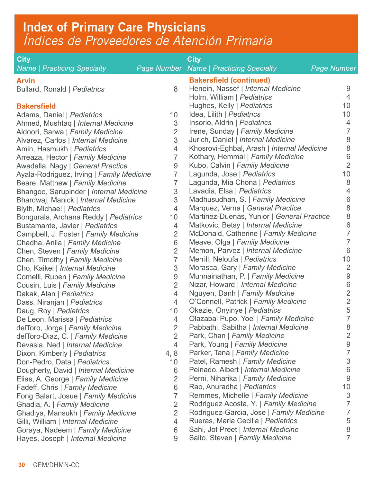## Index of Primary Care Physicians *Índices de Proveedores de Atención Primaria*

| <b>City</b>                                                                   |                         | <b>City</b>                                                              |                    |
|-------------------------------------------------------------------------------|-------------------------|--------------------------------------------------------------------------|--------------------|
| <b>Name   Practicing Specialty</b>                                            |                         | <b>Page Number</b> Name   Practicing Specialty                           | <b>Page Number</b> |
| <b>Arvin</b>                                                                  |                         | <b>Bakersfield (continued)</b>                                           |                    |
| Bullard, Ronald   Pediatrics                                                  | 8                       | Henein, Nassef   Internal Medicine                                       | 9                  |
|                                                                               |                         | Holm, William   Pediatrics                                               | $\overline{4}$     |
| <b>Bakersfield</b>                                                            |                         | Hughes, Kelly   Pediatrics                                               | 10                 |
| Adams, Daniel   Pediatrics                                                    | 10                      | Idea, Lilith   Pediatrics                                                | 10                 |
| Ahmed, Mushtaq   Internal Medicine                                            | 3                       | Insorio, Aldrin   Pediatrics                                             | 4                  |
| Aldoori, Sarwa   Family Medicine                                              | $\overline{2}$          | Irene, Sunday   Family Medicine                                          | 7                  |
| Alvarez, Carlos   Internal Medicine                                           | 3                       | Jurich, Daniel   Internal Medicine                                       | 8                  |
| Amin, Hasmukh   Pediatrics                                                    | $\overline{4}$          | Khosrovi-Eghbal, Arash   Internal Medicine                               | 8<br>6             |
| Arreaza, Hector   Family Medicine                                             | 7                       | Kothary, Hemmal   Family Medicine<br>Kubo, Calvin   Family Medicine      | $\overline{2}$     |
| Awadalla, Nagy   General Practice                                             | $9\,$<br>$\overline{7}$ | Lagunda, Jose   Pediatrics                                               | 10                 |
| Ayala-Rodriguez, Irving   Family Medicine<br>Beare, Matthew   Family Medicine | 7                       | Lagunda, Mia Chona   Pediatrics                                          | 8                  |
| Bhangoo, Sarupinder   Internal Medicine                                       | $\sqrt{3}$              | Lavadia, Elsa   Pediatrics                                               | 4                  |
| Bhardwaj, Manick   Internal Medicine                                          | 3                       | Madhusudhan, S.   Family Medicine                                        | 6                  |
| Blyth, Michael   Pediatrics                                                   | $\overline{4}$          | Marquez, Verna   General Practice                                        | 8                  |
| Bongurala, Archana Reddy   Pediatrics                                         | 10                      | Martinez-Duenas, Yunior   General Practice                               | 8                  |
| Bustamante, Javier   Pediatrics                                               | 4                       | Matkovic, Betsy   Internal Medicine                                      | 6                  |
| Campbell, J. Foster   Family Medicine                                         | $\overline{2}$          | McDonald, Catherine   Family Medicine                                    | 7                  |
| Chadha, Anila   Family Medicine                                               | 6                       | Meave, Olga   Family Medicine                                            | 7                  |
| Chen, Steven   Family Medicine                                                | $\overline{2}$          | Memon, Parvez   Internal Medicine                                        | 6                  |
| Chen, Timothy   Family Medicine                                               | $\overline{7}$          | Merrill, Neloufa   Pediatrics                                            | 10                 |
| Cho, Kaikei   Internal Medicine                                               | $\mathfrak 3$           | Morasca, Gary   Family Medicine                                          | $\overline{2}$     |
| Comelli, Ruben   Family Medicine                                              | $\boldsymbol{9}$        | Munnainathan, P.   Family Medicine                                       | $\boldsymbol{9}$   |
| Cousin, Luis   Family Medicine                                                | $\overline{2}$          | Nizar, Howard   Internal Medicine                                        | 6                  |
| Dakak, Alan   Pediatrics                                                      | $\overline{4}$          | Nguyen, Danh   Family Medicine                                           | $\overline{2}$     |
| Dass, Niranjan   Pediatrics                                                   | $\overline{4}$          | O'Connell, Patrick   Family Medicine                                     | $\overline{2}$     |
| Daug, Roy   Pediatrics                                                        | 10                      | Okezie, Onyinye   Pediatrics                                             | 5                  |
| De Leon, Marissa   Pediatrics                                                 | $\overline{4}$          | Olazabal Pupo, Yoel   Family Medicine                                    | 7                  |
| delToro, Jorge   Family Medicine                                              | $\overline{2}$          | Pabbathi, Sabitha   Internal Medicine                                    | 8                  |
| delToro-Diaz, C.   Family Medicine                                            | $\overline{2}$          | Park, Chan   Family Medicine                                             | $\overline{2}$     |
| Devasia, Ned   Internal Medicine                                              | 4                       | Park, Young   Family Medicine                                            | $9\,$              |
| Dixon, Kimberly   Pediatrics                                                  | 4,8                     | Parker, Tana   Family Medicine                                           | 7<br>3             |
| Don-Pedro, Data   Pediatrics                                                  | 10                      | Patel, Ramesh   Family Medicine                                          |                    |
| Dougherty, David   Internal Medicine                                          | 6                       | Peinado, Albert   Internal Medicine<br>Perni, Niharika   Family Medicine | 6<br>9             |
| Elias, A. George   Family Medicine                                            | $\overline{2}$<br>6     | Rao, Anuradha   Pediatrics                                               | 10                 |
| Fadeff, Chris   Family Medicine<br>Fong Balart, Josue   Family Medicine       | $\overline{7}$          | Remmes, Michelle   Family Medicine                                       | 3                  |
| Ghadia, A.   Family Medicine                                                  | $\overline{2}$          | Rodriguez Acosta, Y.   Family Medicine                                   | 7                  |
| Ghadiya, Mansukh   Family Medicine                                            | $\overline{2}$          | Rodriguez-Garcia, Jose   Family Medicine                                 | 7                  |
| Gilli, William   Internal Medicine                                            | 4                       | Rueras, Maria Cecilia   Pediatrics                                       | 5                  |
| Goraya, Nadeem   Family Medicine                                              | 6                       | Sahi, Jot Preet   Internal Medicine                                      | 8                  |
| Hayes, Joseph   Internal Medicine                                             | 9                       | Saito, Steven   Family Medicine                                          | 7                  |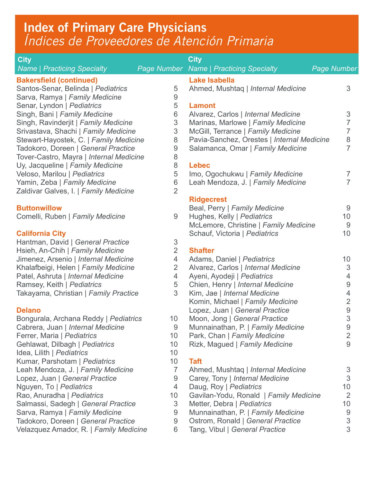## Index of Primary Care Physicians *Índices de Proveedores de Atención Primaria*

| <b>City</b>                                                                  |                                  | <b>City</b>                                                               |                      |
|------------------------------------------------------------------------------|----------------------------------|---------------------------------------------------------------------------|----------------------|
| <b>Name   Practicing Specialty</b>                                           |                                  | <b>Page Number Name   Practicing Specialty</b>                            | <b>Page Number</b>   |
| <b>Bakersfield (continued)</b>                                               |                                  | <b>Lake Isabella</b>                                                      |                      |
| Santos-Senar, Belinda   Pediatrics                                           | 5                                | Ahmed, Mushtaq   Internal Medicine                                        | 3                    |
| Sarva, Ramya   Family Medicine                                               | $\boldsymbol{9}$                 |                                                                           |                      |
| Senar, Lyndon   Pediatrics                                                   | 5                                | <b>Lamont</b>                                                             | 3                    |
| Singh, Bani   Family Medicine<br>Singh, Ravinderjit   Family Medicine        | 6<br>$\sqrt{3}$                  | Alvarez, Carlos   Internal Medicine<br>Marinas, Marlowe   Family Medicine | 7                    |
| Srivastava, Shachi   Family Medicine                                         |                                  | McGill, Terrance   Family Medicine                                        | 7                    |
| Stewart-Hayostek, C.   Family Medicine                                       | $\mathfrak{S}$<br>8              | Pavia-Sanchez, Orestes   Internal Medicine                                | $\,8\,$              |
| Tadokoro, Doreen   General Practice                                          | $\boldsymbol{9}$                 | Salamanca, Omar   Family Medicine                                         | $\overline{7}$       |
| Tover-Castro, Mayra   Internal Medicine                                      | 8                                |                                                                           |                      |
| Uy, Jacqueline   Family Medicine                                             | 8                                | <b>Lebec</b>                                                              |                      |
| Veloso, Marilou   Pediatrics                                                 | 5                                | Imo, Ogochukwu   Family Medicine                                          | 7                    |
| Yamin, Zeba   Family Medicine                                                | $\,6$                            | Leah Mendoza, J.   Family Medicine                                        | 7                    |
| Zaldivar Galves, I.   Family Medicine                                        | $\overline{2}$                   |                                                                           |                      |
|                                                                              |                                  | <b>Ridgecrest</b>                                                         |                      |
| <b>Buttonwillow</b>                                                          |                                  | Beal, Perry   Family Medicine                                             | 9                    |
| Comelli, Ruben   Family Medicine                                             | 9                                | Hughes, Kelly   Pediatrics                                                | 10                   |
|                                                                              |                                  | McLemore, Christine   Family Medicine                                     | 9                    |
| <b>California City</b>                                                       |                                  | Schauf, Victoria   Pediatrics                                             | 10                   |
| Hantman, David   General Practice                                            | $\mathfrak 3$                    |                                                                           |                      |
| Hsieh, An-Chih   Family Medicine                                             | $\overline{2}$                   | <b>Shafter</b>                                                            |                      |
| Jimenez, Arsenio   Internal Medicine<br>Khalafbeigi, Helen   Family Medicine | $\overline{4}$<br>$\overline{2}$ | Adams, Daniel   Pediatrics<br>Alvarez, Carlos   Internal Medicine         | 10<br>$\mathfrak{S}$ |
| Patel, Ashruta   Internal Medicine                                           | $\overline{4}$                   | Ayeni, Ayodeji   Pediatrics                                               | 4                    |
| Ramsey, Keith   Pediatrics                                                   | $\sqrt{5}$                       | Chien, Henry   Internal Medicine                                          | $\boldsymbol{9}$     |
| Takayama, Christian   Family Practice                                        | 3                                | Kim, Jae   Internal Medicine                                              | 4                    |
|                                                                              |                                  | Komin, Michael   Family Medicine                                          | $\overline{2}$       |
| <b>Delano</b>                                                                |                                  | Lopez, Juan   General Practice                                            | $\boldsymbol{9}$     |
| Bongurala, Archana Reddy   Pediatrics                                        | 10                               | Moon, Jong   General Practice                                             | 3                    |
| Cabrera, Juan   Internal Medicine                                            | $\boldsymbol{9}$                 | Munnainathan, P.   Family Medicine                                        | $\overline{9}$       |
| Ferrer, Maria   Pediatrics                                                   | 10                               | Park, Chan   Family Medicine                                              | $\overline{2}$       |
| Gehlawat, Dilbagh   Pediatrics                                               | 10                               | Rizk, Magued   Family Medicine                                            | 9                    |
| Idea, Lilith   Pediatrics                                                    | 10                               |                                                                           |                      |
| Kumar, Parshotam   Pediatrics                                                | 10 <sup>°</sup>                  | <b>Taft</b>                                                               |                      |
| Leah Mendoza, J.   Family Medicine                                           | 7                                | Ahmed, Mushtaq   Internal Medicine                                        | 3                    |
| Lopez, Juan   General Practice                                               | $\overline{9}$                   | Carey, Tony   Internal Medicine                                           | 3                    |
| Nguyen, To   Pediatrics                                                      | 4                                | Daug, Roy   Pediatrics                                                    | 10                   |
| Rao, Anuradha   Pediatrics                                                   | 10                               | Gavilan-Yodu, Ronald   Family Medicine                                    | $\overline{2}$       |
| Salmassi, Sadegh   General Practice<br>Sarva, Ramya   Family Medicine        | 3<br>9                           | Metter, Debra   Pediatrics<br>Munnainathan, P.   Family Medicine          | 10<br>9              |
| Tadokoro, Doreen   General Practice                                          | 9                                | Ostrom, Ronald   General Practice                                         | 3                    |
| Velazquez Amador, R.   Family Medicine                                       | 6                                | Tang, Vibul   General Practice                                            | 3                    |
|                                                                              |                                  |                                                                           |                      |